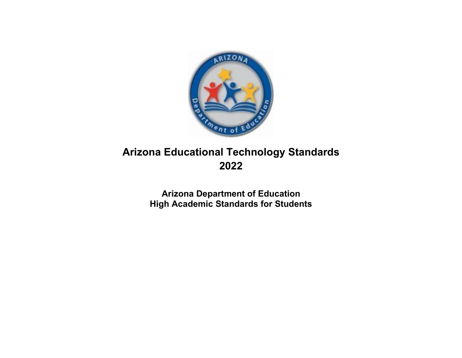

# **Arizona Educational Technology Standards 2022**

**Arizona Department of Education High Academic Standards for Students**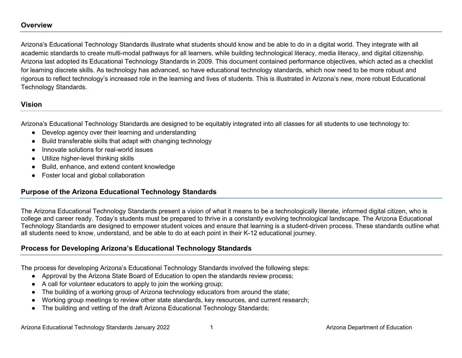## **Overview**

Arizona's Educational Technology Standards illustrate what students should know and be able to do in a digital world. They integrate with all academic standards to create multi-modal pathways for all learners, while building technological literacy, media literacy, and digital citizenship. Arizona last adopted its Educational Technology Standards in 2009. This document contained performance objectives, which acted as a checklist for learning discrete skills. As technology has advanced, so have educational technology standards, which now need to be more robust and rigorous to reflect technology's increased role in the learning and lives of students. This is illustrated in Arizona's new, more robust Educational Technology Standards.

# **Vision**

Arizona's Educational Technology Standards are designed to be equitably integrated into all classes for all students to use technology to:

- Develop agency over their learning and understanding
- Build transferable skills that adapt with changing technology
- Innovate solutions for real-world issues
- Utilize higher-level thinking skills
- Build, enhance, and extend content knowledge
- Foster local and global collaboration

# **Purpose of the Arizona Educational Technology Standards**

The Arizona Educational Technology Standards present a vision of what it means to be a technologically literate, informed digital citizen, who is college and career ready. Today's students must be prepared to thrive in a constantly evolving technological landscape. The Arizona Educational Technology Standards are designed to empower student voices and ensure that learning is a student-driven process. These standards outline what all students need to know, understand, and be able to do at each point in their K-12 educational journey.

# **Process for Developing Arizona's Educational Technology Standards**

The process for developing Arizona's Educational Technology Standards involved the following steps:

- Approval by the Arizona State Board of Education to open the standards review process;
- A call for volunteer educators to apply to join the working group;
- The building of a working group of Arizona technology educators from around the state;
- Working group meetings to review other state standards, key resources, and current research;
- The building and vetting of the draft Arizona Educational Technology Standards;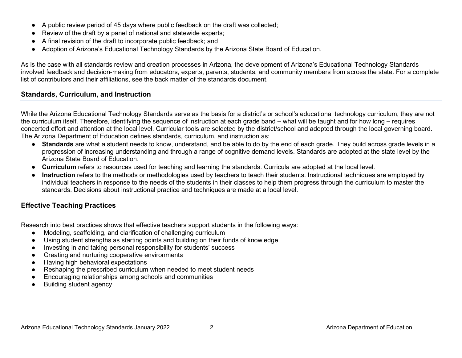- A public review period of 45 days where public feedback on the draft was collected;
- Review of the draft by a panel of national and statewide experts;
- A final revision of the draft to incorporate public feedback; and
- Adoption of Arizona's Educational Technology Standards by the Arizona State Board of Education.

As is the case with all standards review and creation processes in Arizona, the development of Arizona's Educational Technology Standards involved feedback and decision-making from educators, experts, parents, students, and community members from across the state. For a complete list of contributors and their affiliations, see the back matter of the standards document.

# **Standards, Curriculum, and Instruction**

While the Arizona Educational Technology Standards serve as the basis for a district's or school's educational technology curriculum, they are not the curriculum itself. Therefore, identifying the sequence of instruction at each grade band **–** what will be taught and for how long **–** requires concerted effort and attention at the local level. Curricular tools are selected by the district/school and adopted through the local governing board. The Arizona Department of Education defines standards, curriculum, and instruction as:

- **Standards** are what a student needs to know, understand, and be able to do by the end of each grade. They build across grade levels in a progression of increasing understanding and through a range of cognitive demand levels. Standards are adopted at the state level by the Arizona State Board of Education.
- **Curriculum** refers to resources used for teaching and learning the standards. Curricula are adopted at the local level.
- **Instruction** refers to the methods or methodologies used by teachers to teach their students. Instructional techniques are employed by individual teachers in response to the needs of the students in their classes to help them progress through the curriculum to master the standards. Decisions about instructional practice and techniques are made at a local level.

# **Effective Teaching Practices**

Research into best practices shows that effective teachers support students in the following ways:

- Modeling, scaffolding, and clarification of challenging curriculum
- Using student strengths as starting points and building on their funds of knowledge
- Investing in and taking personal responsibility for students' success
- Creating and nurturing cooperative environments
- Having high behavioral expectations
- Reshaping the prescribed curriculum when needed to meet student needs
- Encouraging relationships among schools and communities
- Building student agency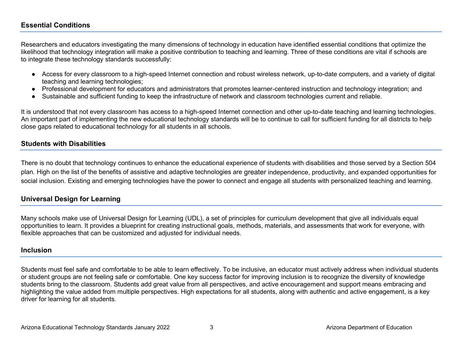# **Essential Conditions**

Researchers and educators investigating the many dimensions of technology in education have identified essential conditions that optimize the likelihood that technology integration will make a positive contribution to teaching and learning. Three of these conditions are vital if schools are to integrate these technology standards successfully:

- Access for every classroom to a high-speed Internet connection and robust wireless network, up-to-date computers, and a variety of digital teaching and learning technologies;
- Professional development for educators and administrators that promotes learner-centered instruction and technology integration; and
- Sustainable and sufficient funding to keep the infrastructure of network and classroom technologies current and reliable.

It is understood that not every classroom has access to a high-speed Internet connection and other up-to-date teaching and learning technologies. An important part of implementing the new educational technology standards will be to continue to call for sufficient funding for all districts to help close gaps related to educational technology for all students in all schools.

# **Students with Disabilities**

There is no doubt that technology continues to enhance the educational experience of students with disabilities and those served by a Section 504 plan. High on the list of the benefits of assistive and adaptive technologies are greater independence, productivity, and expanded opportunities for social inclusion. Existing and emerging technologies have the power to connect and engage all students with personalized teaching and learning.

# **Universal Design for Learning**

Many schools make use of Universal Design for Learning (UDL), a set of principles for curriculum development that give all individuals equal opportunities to learn. It provides a blueprint for creating instructional goals, methods, materials, and assessments that work for everyone, with flexible approaches that can be customized and adjusted for individual needs.

### **Inclusion**

Students must feel safe and comfortable to be able to learn effectively. To be inclusive, an educator must actively address when individual students or student groups are not feeling safe or comfortable. One key success factor for improving inclusion is to recognize the diversity of knowledge students bring to the classroom. Students add great value from all perspectives, and active encouragement and support means embracing and highlighting the value added from multiple perspectives. High expectations for all students, along with authentic and active engagement, is a key driver for learning for all students.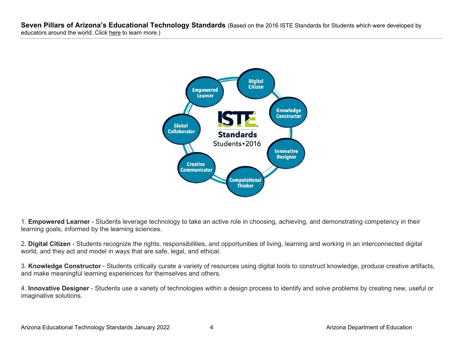**Seven Pillars of Arizona's Educational Technology Standards** (Based on the 2016 ISTE Standards for Students which were developed by educators around the world. Click [here](https://www.iste.org/iste-standards) to learn more.)



1. **Empowered Learner** - Students leverage technology to take an active role in choosing, achieving, and demonstrating competency in their learning goals, informed by the learning sciences.

2. **Digital Citizen** - Students recognize the rights, responsibilities, and opportunities of living, learning and working in an interconnected digital world, and they act and model in ways that are safe, legal, and ethical.

3. **Knowledge Constructor** - Students critically curate a variety of resources using digital tools to construct knowledge, produce creative artifacts, and make meaningful learning experiences for themselves and others.

4. **Innovative Designer** - Students use a variety of technologies within a design process to identify and solve problems by creating new, useful or imaginative solutions.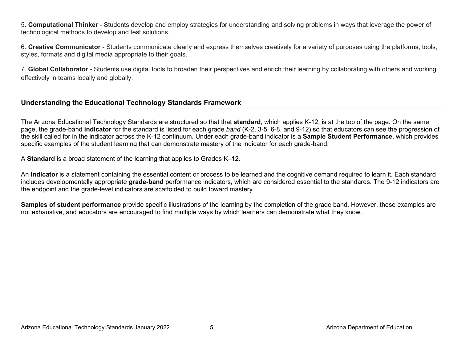5. **Computational Thinker** - Students develop and employ strategies for understanding and solving problems in ways that leverage the power of technological methods to develop and test solutions.

6. **Creative Communicator** - Students communicate clearly and express themselves creatively for a variety of purposes using the platforms, tools, styles, formats and digital media appropriate to their goals.

7. **Global Collaborator** - Students use digital tools to broaden their perspectives and enrich their learning by collaborating with others and working effectively in teams locally and globally.

# **Understanding the Educational Technology Standards Framework**

The Arizona Educational Technology Standards are structured so that that **standard**, which applies K-12, is at the top of the page. On the same page, the grade-band **indicator** for the standard is listed for each grade *band* (K-2, 3-5, 6-8, and 9-12) so that educators can see the progression of the skill called for in the indicator across the K-12 continuum. Under each grade-band indicator is a **Sample Student Performance**, which provides specific examples of the student learning that can demonstrate mastery of the indicator for each grade-band.

A **Standard** is a broad statement of the learning that applies to Grades K–12.

An **Indicator** is a statement containing the essential content or process to be learned and the cognitive demand required to learn it. Each standard includes developmentally appropriate **grade-band** performance indicators, which are considered essential to the standards. The 9-12 indicators are the endpoint and the grade-level indicators are scaffolded to build toward mastery.

**Samples of student performance** provide specific illustrations of the learning by the completion of the grade band. However, these examples are not exhaustive, and educators are encouraged to find multiple ways by which learners can demonstrate what they know.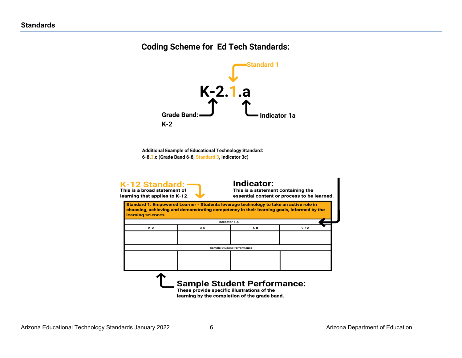# **Coding Scheme for Ed Tech Standards:**



Additional Example of Educational Technology Standard: 6-8.3.c (Grade Band 6-8, Standard 3, Indicator 3c)



#### **Indicator:**

This is a statement containing the essential content or process to be learned.

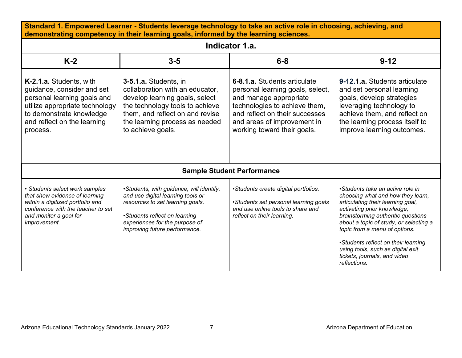| Standard 1. Empowered Learner - Students leverage technology to take an active role in choosing, achieving, and<br>demonstrating competency in their learning goals, informed by the learning sciences. |                                                                                                                                                                                                                         |                                                                                                                                                                                                                             |                                                                                                                                                                                                                                                                                                                                                                                       |
|---------------------------------------------------------------------------------------------------------------------------------------------------------------------------------------------------------|-------------------------------------------------------------------------------------------------------------------------------------------------------------------------------------------------------------------------|-----------------------------------------------------------------------------------------------------------------------------------------------------------------------------------------------------------------------------|---------------------------------------------------------------------------------------------------------------------------------------------------------------------------------------------------------------------------------------------------------------------------------------------------------------------------------------------------------------------------------------|
|                                                                                                                                                                                                         |                                                                                                                                                                                                                         | Indicator 1.a.                                                                                                                                                                                                              |                                                                                                                                                                                                                                                                                                                                                                                       |
| $K-2$                                                                                                                                                                                                   | $3-5$                                                                                                                                                                                                                   | $6 - 8$                                                                                                                                                                                                                     | $9 - 12$                                                                                                                                                                                                                                                                                                                                                                              |
| K-2.1.a. Students, with<br>guidance, consider and set<br>personal learning goals and<br>utilize appropriate technology<br>to demonstrate knowledge<br>and reflect on the learning<br>process.           | 3-5.1.a. Students, in<br>collaboration with an educator,<br>develop learning goals, select<br>the technology tools to achieve<br>them, and reflect on and revise<br>the learning process as needed<br>to achieve goals. | 6-8.1.a. Students articulate<br>personal learning goals, select,<br>and manage appropriate<br>technologies to achieve them,<br>and reflect on their successes<br>and areas of improvement in<br>working toward their goals. | 9-12.1.a. Students articulate<br>and set personal learning<br>goals, develop strategies<br>leveraging technology to<br>achieve them, and reflect on<br>the learning process itself to<br>improve learning outcomes.                                                                                                                                                                   |
|                                                                                                                                                                                                         |                                                                                                                                                                                                                         | <b>Sample Student Performance</b>                                                                                                                                                                                           |                                                                                                                                                                                                                                                                                                                                                                                       |
| • Students select work samples<br>that show evidence of learning<br>within a digitized portfolio and<br>conference with the teacher to set<br>and monitor a goal for<br>improvement.                    | •Students, with guidance, will identify,<br>and use digital learning tools or<br>resources to set learning goals.<br>•Students reflect on learning<br>experiences for the purpose of<br>improving future performance.   | •Students create digital portfolios.<br>•Students set personal learning goals<br>and use online tools to share and<br>reflect on their learning.                                                                            | •Students take an active role in<br>choosing what and how they learn,<br>articulating their learning goal,<br>activating prior knowledge,<br>brainstorming authentic questions<br>about a topic of study, or selecting a<br>topic from a menu of options.<br>•Students reflect on their learning<br>using tools, such as digital exit<br>tickets, journals, and video<br>reflections. |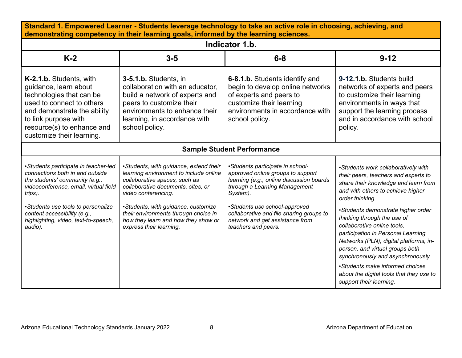| Standard 1. Empowered Learner - Students leverage technology to take an active role in choosing, achieving, and<br>demonstrating competency in their learning goals, informed by the learning sciences.                                                                                |                                                                                                                                                                                                                                                                                                                                 |                                                                                                                                                                                                                                                                                                       |                                                                                                                                                                                                                                                                                                                                                                                                                                         |  |
|----------------------------------------------------------------------------------------------------------------------------------------------------------------------------------------------------------------------------------------------------------------------------------------|---------------------------------------------------------------------------------------------------------------------------------------------------------------------------------------------------------------------------------------------------------------------------------------------------------------------------------|-------------------------------------------------------------------------------------------------------------------------------------------------------------------------------------------------------------------------------------------------------------------------------------------------------|-----------------------------------------------------------------------------------------------------------------------------------------------------------------------------------------------------------------------------------------------------------------------------------------------------------------------------------------------------------------------------------------------------------------------------------------|--|
|                                                                                                                                                                                                                                                                                        |                                                                                                                                                                                                                                                                                                                                 | Indicator 1.b.                                                                                                                                                                                                                                                                                        |                                                                                                                                                                                                                                                                                                                                                                                                                                         |  |
| $K-2$                                                                                                                                                                                                                                                                                  | $3-5$                                                                                                                                                                                                                                                                                                                           | $6 - 8$                                                                                                                                                                                                                                                                                               | $9 - 12$                                                                                                                                                                                                                                                                                                                                                                                                                                |  |
| K-2.1.b. Students, with<br>guidance, learn about<br>technologies that can be<br>used to connect to others<br>and demonstrate the ability<br>to link purpose with<br>resource(s) to enhance and<br>customize their learning.                                                            | 3-5.1.b. Students, in<br>collaboration with an educator,<br>build a network of experts and<br>peers to customize their<br>environments to enhance their<br>learning, in accordance with<br>school policy.                                                                                                                       | 6-8.1.b. Students identify and<br>begin to develop online networks<br>of experts and peers to<br>customize their learning<br>environments in accordance with<br>school policy.                                                                                                                        | 9-12.1.b. Students build<br>networks of experts and peers<br>to customize their learning<br>environments in ways that<br>support the learning process<br>and in accordance with school<br>policy.                                                                                                                                                                                                                                       |  |
|                                                                                                                                                                                                                                                                                        |                                                                                                                                                                                                                                                                                                                                 | <b>Sample Student Performance</b>                                                                                                                                                                                                                                                                     |                                                                                                                                                                                                                                                                                                                                                                                                                                         |  |
| •Students participate in teacher-led<br>connections both in and outside<br>the students' community (e.g.,<br>videoconference, email, virtual field<br>trips).<br>•Students use tools to personalize<br>content accessibility (e.g.,<br>highlighting, video, text-to-speech,<br>audio). | •Students, with guidance, extend their<br>learning environment to include online<br>collaborative spaces, such as<br>collaborative documents, sites, or<br>video conferencing.<br>•Students, with guidance, customize<br>their environments through choice in<br>how they learn and how they show or<br>express their learning. | •Students participate in school-<br>approved online groups to support<br>learning (e.g., online discussion boards<br>through a Learning Management<br>System).<br>•Students use school-approved<br>collaborative and file sharing groups to<br>network and get assistance from<br>teachers and peers. | •Students work collaboratively with<br>their peers, teachers and experts to<br>share their knowledge and learn from<br>and with others to achieve higher<br>order thinking.<br>•Students demonstrate higher order<br>thinking through the use of<br>collaborative online tools.<br>participation in Personal Learning<br>Networks (PLN), digital platforms, in-<br>person, and virtual groups both<br>synchronously and asynchronously. |  |
|                                                                                                                                                                                                                                                                                        |                                                                                                                                                                                                                                                                                                                                 |                                                                                                                                                                                                                                                                                                       | •Students make informed choices<br>about the digital tools that they use to<br>support their learning.                                                                                                                                                                                                                                                                                                                                  |  |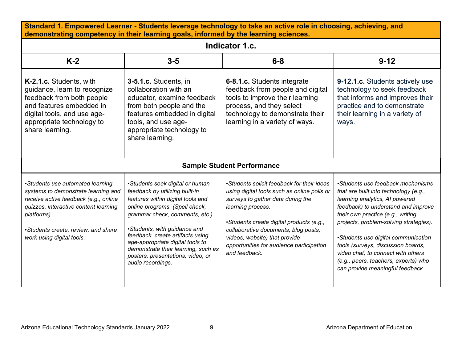| Standard 1. Empowered Learner - Students leverage technology to take an active role in choosing, achieving, and<br>demonstrating competency in their learning goals, informed by the learning sciences.                                      |                                                                                                                                                                                                                                                                                                                                                                                     |                                                                                                                                                                                                                                                                                                                                       |                                                                                                                                                                                                                                                                                                                                                                                                                                   |  |
|----------------------------------------------------------------------------------------------------------------------------------------------------------------------------------------------------------------------------------------------|-------------------------------------------------------------------------------------------------------------------------------------------------------------------------------------------------------------------------------------------------------------------------------------------------------------------------------------------------------------------------------------|---------------------------------------------------------------------------------------------------------------------------------------------------------------------------------------------------------------------------------------------------------------------------------------------------------------------------------------|-----------------------------------------------------------------------------------------------------------------------------------------------------------------------------------------------------------------------------------------------------------------------------------------------------------------------------------------------------------------------------------------------------------------------------------|--|
|                                                                                                                                                                                                                                              |                                                                                                                                                                                                                                                                                                                                                                                     | Indicator 1.c.                                                                                                                                                                                                                                                                                                                        |                                                                                                                                                                                                                                                                                                                                                                                                                                   |  |
| $K-2$                                                                                                                                                                                                                                        | $3-5$                                                                                                                                                                                                                                                                                                                                                                               | $6 - 8$                                                                                                                                                                                                                                                                                                                               | $9 - 12$                                                                                                                                                                                                                                                                                                                                                                                                                          |  |
| K-2.1.c. Students, with<br>guidance, learn to recognize<br>feedback from both people<br>and features embedded in<br>digital tools, and use age-<br>appropriate technology to<br>share learning.                                              | 3-5.1.c. Students, in<br>collaboration with an<br>educator, examine feedback<br>from both people and the<br>features embedded in digital<br>tools, and use age-<br>appropriate technology to<br>share learning.                                                                                                                                                                     | 6-8.1.c. Students integrate<br>feedback from people and digital<br>tools to improve their learning<br>process, and they select<br>technology to demonstrate their<br>learning in a variety of ways.                                                                                                                                   | 9-12.1.c. Students actively use<br>technology to seek feedback<br>that informs and improves their<br>practice and to demonstrate<br>their learning in a variety of<br>ways.                                                                                                                                                                                                                                                       |  |
|                                                                                                                                                                                                                                              |                                                                                                                                                                                                                                                                                                                                                                                     | <b>Sample Student Performance</b>                                                                                                                                                                                                                                                                                                     |                                                                                                                                                                                                                                                                                                                                                                                                                                   |  |
| •Students use automated learning<br>systems to demonstrate learning and<br>receive active feedback (e.g., online<br>quizzes, interactive content learning<br>platforms).<br>•Students create, review, and share<br>work using digital tools. | •Students seek digital or human<br>feedback by utilizing built-in<br>features within digital tools and<br>online programs. (Spell check,<br>grammar check, comments, etc.)<br>•Students, with guidance and<br>feedback, create artifacts using<br>age-appropriate digital tools to<br>demonstrate their learning, such as<br>posters, presentations, video, or<br>audio recordings. | •Students solicit feedback for their ideas<br>using digital tools such as online polls or<br>surveys to gather data during the<br>learning process.<br>•Students create digital products (e.g.,<br>collaborative documents, blog posts,<br>videos, website) that provide<br>opportunities for audience participation<br>and feedback. | •Students use feedback mechanisms<br>that are built into technology (e.g.,<br>learning analytics, AI powered<br>feedback) to understand and improve<br>their own practice (e.g., writing,<br>projects, problem-solving strategies).<br>•Students use digital communication<br>tools (surveys, discussion boards,<br>video chat) to connect with others<br>(e.g., peers, teachers, experts) who<br>can provide meaningful feedback |  |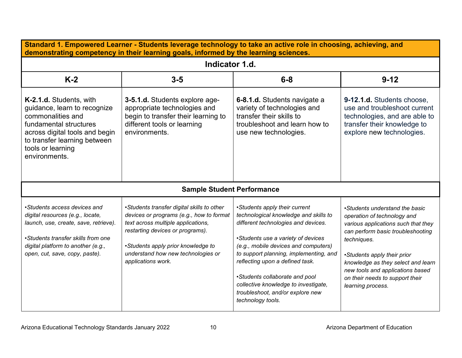| Standard 1. Empowered Learner - Students leverage technology to take an active role in choosing, achieving, and<br>demonstrating competency in their learning goals, informed by the learning sciences.                 |                                                                                                                                                                                                                                                                    |                                                                                                                                                                                                                                                                                                                                                                                                             |                                                                                                                                                                                                                                                                                                                           |  |  |
|-------------------------------------------------------------------------------------------------------------------------------------------------------------------------------------------------------------------------|--------------------------------------------------------------------------------------------------------------------------------------------------------------------------------------------------------------------------------------------------------------------|-------------------------------------------------------------------------------------------------------------------------------------------------------------------------------------------------------------------------------------------------------------------------------------------------------------------------------------------------------------------------------------------------------------|---------------------------------------------------------------------------------------------------------------------------------------------------------------------------------------------------------------------------------------------------------------------------------------------------------------------------|--|--|
|                                                                                                                                                                                                                         | Indicator 1.d.                                                                                                                                                                                                                                                     |                                                                                                                                                                                                                                                                                                                                                                                                             |                                                                                                                                                                                                                                                                                                                           |  |  |
| $K-2$                                                                                                                                                                                                                   | $3 - 5$                                                                                                                                                                                                                                                            | $6 - 8$                                                                                                                                                                                                                                                                                                                                                                                                     | $9 - 12$                                                                                                                                                                                                                                                                                                                  |  |  |
| K-2.1.d. Students, with<br>guidance, learn to recognize<br>commonalities and<br>fundamental structures<br>across digital tools and begin<br>to transfer learning between<br>tools or learning<br>environments.          | 3-5.1.d. Students explore age-<br>appropriate technologies and<br>begin to transfer their learning to<br>different tools or learning<br>environments.                                                                                                              | 6-8.1.d. Students navigate a<br>variety of technologies and<br>transfer their skills to<br>troubleshoot and learn how to<br>use new technologies.                                                                                                                                                                                                                                                           | 9-12.1.d. Students choose,<br>use and troubleshoot current<br>technologies, and are able to<br>transfer their knowledge to<br>explore new technologies.                                                                                                                                                                   |  |  |
|                                                                                                                                                                                                                         | <b>Sample Student Performance</b>                                                                                                                                                                                                                                  |                                                                                                                                                                                                                                                                                                                                                                                                             |                                                                                                                                                                                                                                                                                                                           |  |  |
| •Students access devices and<br>digital resources (e.g., locate,<br>launch, use, create, save, retrieve).<br>•Students transfer skills from one<br>digital platform to another (e.g.,<br>open, cut, save, copy, paste). | •Students transfer digital skills to other<br>devices or programs (e.g., how to format<br>text across multiple applications,<br>restarting devices or programs).<br>•Students apply prior knowledge to<br>understand how new technologies or<br>applications work. | •Students apply their current<br>technological knowledge and skills to<br>different technologies and devices.<br>•Students use a variety of devices<br>(e.g., mobile devices and computers)<br>to support planning, implementing, and<br>reflecting upon a defined task.<br>•Students collaborate and pool<br>collective knowledge to investigate,<br>troubleshoot, and/or explore new<br>technology tools. | •Students understand the basic<br>operation of technology and<br>various applications such that they<br>can perform basic troubleshooting<br>techniques.<br>•Students apply their prior<br>knowledge as they select and learn<br>new tools and applications based<br>on their needs to support their<br>learning process. |  |  |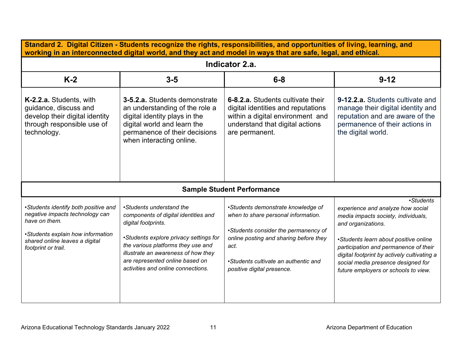| Standard 2. Digital Citizen - Students recognize the rights, responsibilities, and opportunities of living, learning, and<br>working in an interconnected digital world, and they act and model in ways that are safe, legal, and ethical. |                                                                                                                                                                                                                                                                                         |                                                                                                                                                                                                                                           |                                                                                                                                                                                                                                                                                                                            |  |
|--------------------------------------------------------------------------------------------------------------------------------------------------------------------------------------------------------------------------------------------|-----------------------------------------------------------------------------------------------------------------------------------------------------------------------------------------------------------------------------------------------------------------------------------------|-------------------------------------------------------------------------------------------------------------------------------------------------------------------------------------------------------------------------------------------|----------------------------------------------------------------------------------------------------------------------------------------------------------------------------------------------------------------------------------------------------------------------------------------------------------------------------|--|
| Indicator 2.a.                                                                                                                                                                                                                             |                                                                                                                                                                                                                                                                                         |                                                                                                                                                                                                                                           |                                                                                                                                                                                                                                                                                                                            |  |
| $K-2$                                                                                                                                                                                                                                      | $3-5$                                                                                                                                                                                                                                                                                   | $6 - 8$                                                                                                                                                                                                                                   | $9 - 12$                                                                                                                                                                                                                                                                                                                   |  |
| K-2.2.a. Students, with<br>guidance, discuss and<br>develop their digital identity<br>through responsible use of<br>technology.                                                                                                            | 3-5.2.a. Students demonstrate<br>an understanding of the role a<br>digital identity plays in the<br>digital world and learn the<br>permanence of their decisions<br>when interacting online.                                                                                            | 6-8.2.a. Students cultivate their<br>digital identities and reputations<br>within a digital environment and<br>understand that digital actions<br>are permanent.                                                                          | 9-12.2.a. Students cultivate and<br>manage their digital identity and<br>reputation and are aware of the<br>permanence of their actions in<br>the digital world.                                                                                                                                                           |  |
|                                                                                                                                                                                                                                            |                                                                                                                                                                                                                                                                                         | <b>Sample Student Performance</b>                                                                                                                                                                                                         |                                                                                                                                                                                                                                                                                                                            |  |
| •Students identify both positive and<br>negative impacts technology can<br>have on them.<br>•Students explain how information<br>shared online leaves a digital<br>footprint or trail.                                                     | •Students understand the<br>components of digital identities and<br>digital footprints.<br>•Students explore privacy settings for<br>the various platforms they use and<br>illustrate an awareness of how they<br>are represented online based on<br>activities and online connections. | •Students demonstrate knowledge of<br>when to share personal information.<br>•Students consider the permanency of<br>online posting and sharing before they<br>act.<br>•Students cultivate an authentic and<br>positive digital presence. | •Students<br>experience and analyze how social<br>media impacts society, individuals,<br>and organizations.<br>•Students learn about positive online<br>participation and permanence of their<br>digital footprint by actively cultivating a<br>social media presence designed for<br>future employers or schools to view. |  |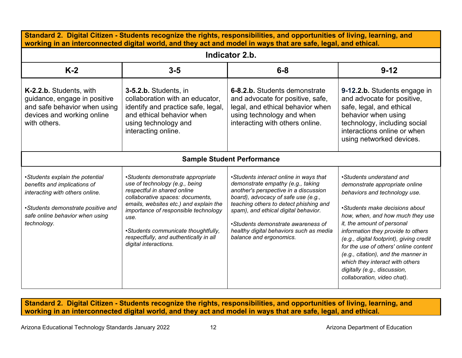| Standard 2. Digital Citizen - Students recognize the rights, responsibilities, and opportunities of living, learning, and<br>working in an interconnected digital world, and they act and model in ways that are safe, legal, and ethical. |                                                                                                                                                                                                                                                                                                                                            |                                                                                                                                                                                                                                                                                                                                                           |                                                                                                                                                                                                                                                                                                                                                                                                                                                                     |  |
|--------------------------------------------------------------------------------------------------------------------------------------------------------------------------------------------------------------------------------------------|--------------------------------------------------------------------------------------------------------------------------------------------------------------------------------------------------------------------------------------------------------------------------------------------------------------------------------------------|-----------------------------------------------------------------------------------------------------------------------------------------------------------------------------------------------------------------------------------------------------------------------------------------------------------------------------------------------------------|---------------------------------------------------------------------------------------------------------------------------------------------------------------------------------------------------------------------------------------------------------------------------------------------------------------------------------------------------------------------------------------------------------------------------------------------------------------------|--|
| Indicator 2.b.                                                                                                                                                                                                                             |                                                                                                                                                                                                                                                                                                                                            |                                                                                                                                                                                                                                                                                                                                                           |                                                                                                                                                                                                                                                                                                                                                                                                                                                                     |  |
| $K-2$                                                                                                                                                                                                                                      | $3-5$                                                                                                                                                                                                                                                                                                                                      | $6-8$                                                                                                                                                                                                                                                                                                                                                     | $9 - 12$                                                                                                                                                                                                                                                                                                                                                                                                                                                            |  |
| K-2.2.b. Students, with<br>guidance, engage in positive<br>and safe behavior when using<br>devices and working online<br>with others.                                                                                                      | 3-5.2.b. Students, in<br>collaboration with an educator.<br>identify and practice safe, legal,<br>and ethical behavior when<br>using technology and<br>interacting online.                                                                                                                                                                 | 6-8.2.b. Students demonstrate<br>and advocate for positive, safe,<br>legal, and ethical behavior when<br>using technology and when<br>interacting with others online.                                                                                                                                                                                     | 9-12.2.b. Students engage in<br>and advocate for positive,<br>safe, legal, and ethical<br>behavior when using<br>technology, including social<br>interactions online or when<br>using networked devices.                                                                                                                                                                                                                                                            |  |
|                                                                                                                                                                                                                                            |                                                                                                                                                                                                                                                                                                                                            | <b>Sample Student Performance</b>                                                                                                                                                                                                                                                                                                                         |                                                                                                                                                                                                                                                                                                                                                                                                                                                                     |  |
| •Students explain the potential<br>benefits and implications of<br>interacting with others online.<br>•Students demonstrate positive and<br>safe online behavior when using<br>technology.                                                 | •Students demonstrate appropriate<br>use of technology (e.g., being<br>respectful in shared online<br>collaborative spaces: documents,<br>emails, websites etc.) and explain the<br>importance of responsible technology<br>use.<br>•Students communicate thoughtfully,<br>respectfully, and authentically in all<br>digital interactions. | •Students interact online in ways that<br>demonstrate empathy (e.g., taking<br>another's perspective in a discussion<br>board), advocacy of safe use (e.g.,<br>teaching others to detect phishing and<br>spam), and ethical digital behavior.<br>•Students demonstrate awareness of<br>healthy digital behaviors such as media<br>balance and ergonomics. | •Students understand and<br>demonstrate appropriate online<br>behaviors and technology use.<br>•Students make decisions about<br>how, when, and how much they use<br>it, the amount of personal<br>information they provide to others<br>(e.g., digital footprint), giving credit<br>for the use of others' online content<br>(e.g., citation), and the manner in<br>which they interact with others<br>digitally (e.g., discussion,<br>collaboration, video chat). |  |

**Standard 2. Digital Citizen - Students recognize the rights, responsibilities, and opportunities of living, learning, and working in an interconnected digital world, and they act and model in ways that are safe, legal, and ethical.**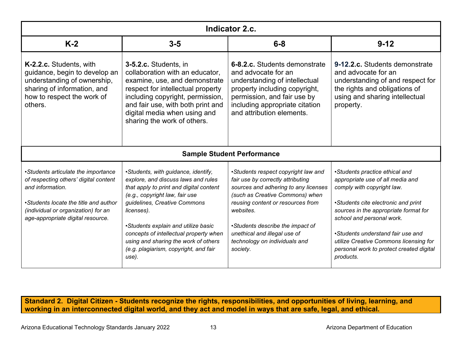| <b>Indicator 2.c.</b>                                                                                                                                                                                                 |                                                                                                                                                                                                                                                                                                                                                                                  |                                                                                                                                                                                                                                                                                                                        |                                                                                                                                                                                                                                                                                                                                                       |
|-----------------------------------------------------------------------------------------------------------------------------------------------------------------------------------------------------------------------|----------------------------------------------------------------------------------------------------------------------------------------------------------------------------------------------------------------------------------------------------------------------------------------------------------------------------------------------------------------------------------|------------------------------------------------------------------------------------------------------------------------------------------------------------------------------------------------------------------------------------------------------------------------------------------------------------------------|-------------------------------------------------------------------------------------------------------------------------------------------------------------------------------------------------------------------------------------------------------------------------------------------------------------------------------------------------------|
| $K-2$                                                                                                                                                                                                                 | $3 - 5$                                                                                                                                                                                                                                                                                                                                                                          | $6 - 8$                                                                                                                                                                                                                                                                                                                | $9 - 12$                                                                                                                                                                                                                                                                                                                                              |
| K-2.2.c. Students, with<br>guidance, begin to develop an<br>understanding of ownership,<br>sharing of information, and<br>how to respect the work of<br>others.                                                       | 3-5.2.c. Students, in<br>collaboration with an educator,<br>examine, use, and demonstrate<br>respect for intellectual property<br>including copyright, permission,<br>and fair use, with both print and<br>digital media when using and<br>sharing the work of others.                                                                                                           | 6-8.2.c. Students demonstrate<br>and advocate for an<br>understanding of intellectual<br>property including copyright,<br>permission, and fair use by<br>including appropriate citation<br>and attribution elements.                                                                                                   | 9-12.2.c. Students demonstrate<br>and advocate for an<br>understanding of and respect for<br>the rights and obligations of<br>using and sharing intellectual<br>property.                                                                                                                                                                             |
|                                                                                                                                                                                                                       |                                                                                                                                                                                                                                                                                                                                                                                  | <b>Sample Student Performance</b>                                                                                                                                                                                                                                                                                      |                                                                                                                                                                                                                                                                                                                                                       |
| •Students articulate the importance<br>of respecting others' digital content<br>and information.<br>•Students locate the title and author<br>(individual or organization) for an<br>age-appropriate digital resource. | •Students, with guidance, identify,<br>explore, and discuss laws and rules<br>that apply to print and digital content<br>(e.g., copyright law, fair use<br>guidelines, Creative Commons<br>licenses).<br>•Students explain and utilize basic<br>concepts of intellectual property when<br>using and sharing the work of others<br>(e.g. plagiarism, copyright, and fair<br>use). | •Students respect copyright law and<br>fair use by correctly attributing<br>sources and adhering to any licenses<br>(such as Creative Commons) when<br>reusing content or resources from<br>websites.<br>•Students describe the impact of<br>unethical and illegal use of<br>technology on individuals and<br>society. | •Students practice ethical and<br>appropriate use of all media and<br>comply with copyright law.<br>•Students cite electronic and print<br>sources in the appropriate format for<br>school and personal work.<br>•Students understand fair use and<br>utilize Creative Commons licensing for<br>personal work to protect created digital<br>products. |

**Standard 2. Digital Citizen - Students recognize the rights, responsibilities, and opportunities of living, learning, and working in an interconnected digital world, and they act and model in ways that are safe, legal, and ethical.**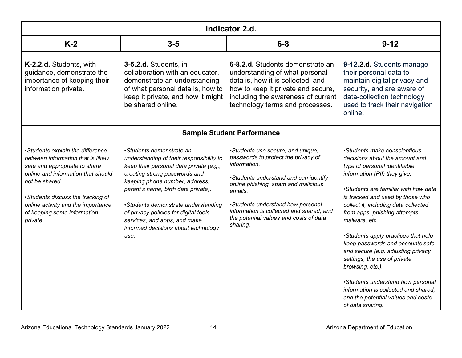| Indicator 2.d.                                                                                                                                                                                                                                                                        |                                                                                                                                                                                                                                                                                                                                                                                           |                                                                                                                                                                                                                                                                                                                            |                                                                                                                                                                                                                                                                                                                                                                                                                                                                                                                                                                                                                   |
|---------------------------------------------------------------------------------------------------------------------------------------------------------------------------------------------------------------------------------------------------------------------------------------|-------------------------------------------------------------------------------------------------------------------------------------------------------------------------------------------------------------------------------------------------------------------------------------------------------------------------------------------------------------------------------------------|----------------------------------------------------------------------------------------------------------------------------------------------------------------------------------------------------------------------------------------------------------------------------------------------------------------------------|-------------------------------------------------------------------------------------------------------------------------------------------------------------------------------------------------------------------------------------------------------------------------------------------------------------------------------------------------------------------------------------------------------------------------------------------------------------------------------------------------------------------------------------------------------------------------------------------------------------------|
| $K-2$                                                                                                                                                                                                                                                                                 | $3-5$                                                                                                                                                                                                                                                                                                                                                                                     | $6 - 8$                                                                                                                                                                                                                                                                                                                    | $9 - 12$                                                                                                                                                                                                                                                                                                                                                                                                                                                                                                                                                                                                          |
| K-2.2.d. Students, with<br>guidance, demonstrate the<br>importance of keeping their<br>information private.                                                                                                                                                                           | 3-5.2.d. Students, in<br>collaboration with an educator,<br>demonstrate an understanding<br>of what personal data is, how to<br>keep it private, and how it might<br>be shared online.                                                                                                                                                                                                    | 6-8.2.d. Students demonstrate an<br>understanding of what personal<br>data is, how it is collected, and<br>how to keep it private and secure,<br>including the awareness of current<br>technology terms and processes.                                                                                                     | 9-12.2.d. Students manage<br>their personal data to<br>maintain digital privacy and<br>security, and are aware of<br>data-collection technology<br>used to track their navigation<br>online.                                                                                                                                                                                                                                                                                                                                                                                                                      |
|                                                                                                                                                                                                                                                                                       |                                                                                                                                                                                                                                                                                                                                                                                           | <b>Sample Student Performance</b>                                                                                                                                                                                                                                                                                          |                                                                                                                                                                                                                                                                                                                                                                                                                                                                                                                                                                                                                   |
| •Students explain the difference<br>between information that is likely<br>safe and appropriate to share<br>online and information that should<br>not be shared.<br>•Students discuss the tracking of<br>online activity and the importance<br>of keeping some information<br>private. | •Students demonstrate an<br>understanding of their responsibility to<br>keep their personal data private (e.g.,<br>creating strong passwords and<br>keeping phone number, address,<br>parent's name, birth date private).<br>•Students demonstrate understanding<br>of privacy policies for digital tools,<br>services, and apps, and make<br>informed decisions about technology<br>use. | •Students use secure, and unique,<br>passwords to protect the privacy of<br>information.<br>•Students understand and can identify<br>online phishing, spam and malicious<br>emails.<br>•Students understand how personal<br>information is collected and shared, and<br>the potential values and costs of data<br>sharing. | •Students make conscientious<br>decisions about the amount and<br>type of personal identifiable<br>information (PII) they give.<br>•Students are familiar with how data<br>is tracked and used by those who<br>collect it, including data collected<br>from apps, phishing attempts,<br>malware, etc.<br>•Students apply practices that help<br>keep passwords and accounts safe<br>and secure (e.g. adjusting privacy<br>settings, the use of private<br>browsing, etc.).<br>•Students understand how personal<br>information is collected and shared,<br>and the potential values and costs<br>of data sharing. |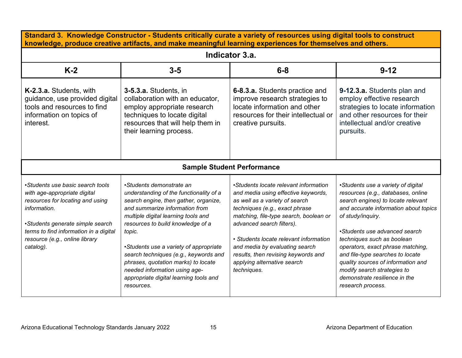| Standard 3. Knowledge Constructor - Students critically curate a variety of resources using digital tools to construct<br>knowledge, produce creative artifacts, and make meaningful learning experiences for themselves and others.              |                                                                                                                                                                                                                                                                                                                                                                                                                                                         |                                                                                                                                                                                                                                                                                                                                                                                          |                                                                                                                                                                                                                                                                                                                                                                                                                                                 |  |  |
|---------------------------------------------------------------------------------------------------------------------------------------------------------------------------------------------------------------------------------------------------|---------------------------------------------------------------------------------------------------------------------------------------------------------------------------------------------------------------------------------------------------------------------------------------------------------------------------------------------------------------------------------------------------------------------------------------------------------|------------------------------------------------------------------------------------------------------------------------------------------------------------------------------------------------------------------------------------------------------------------------------------------------------------------------------------------------------------------------------------------|-------------------------------------------------------------------------------------------------------------------------------------------------------------------------------------------------------------------------------------------------------------------------------------------------------------------------------------------------------------------------------------------------------------------------------------------------|--|--|
|                                                                                                                                                                                                                                                   | Indicator 3.a.                                                                                                                                                                                                                                                                                                                                                                                                                                          |                                                                                                                                                                                                                                                                                                                                                                                          |                                                                                                                                                                                                                                                                                                                                                                                                                                                 |  |  |
| $K-2$                                                                                                                                                                                                                                             | $3-5$                                                                                                                                                                                                                                                                                                                                                                                                                                                   | $6 - 8$                                                                                                                                                                                                                                                                                                                                                                                  | $9 - 12$                                                                                                                                                                                                                                                                                                                                                                                                                                        |  |  |
| K-2.3.a. Students, with<br>guidance, use provided digital<br>tools and resources to find<br>information on topics of<br>interest.                                                                                                                 | 3-5.3.a. Students, in<br>collaboration with an educator,<br>employ appropriate research<br>techniques to locate digital<br>resources that will help them in<br>their learning process.                                                                                                                                                                                                                                                                  | 6-8.3.a. Students practice and<br>improve research strategies to<br>locate information and other<br>resources for their intellectual or<br>creative pursuits.                                                                                                                                                                                                                            | 9-12.3.a. Students plan and<br>employ effective research<br>strategies to locate information<br>and other resources for their<br>intellectual and/or creative<br>pursuits.                                                                                                                                                                                                                                                                      |  |  |
|                                                                                                                                                                                                                                                   |                                                                                                                                                                                                                                                                                                                                                                                                                                                         | <b>Sample Student Performance</b>                                                                                                                                                                                                                                                                                                                                                        |                                                                                                                                                                                                                                                                                                                                                                                                                                                 |  |  |
| •Students use basic search tools<br>with age-appropriate digital<br>resources for locating and using<br>information.<br>•Students generate simple search<br>terms to find information in a digital<br>resource (e.g., online library<br>catalog). | •Students demonstrate an<br>understanding of the functionality of a<br>search engine, then gather, organize,<br>and summarize information from<br>multiple digital learning tools and<br>resources to build knowledge of a<br>topic.<br>•Students use a variety of appropriate<br>search techniques (e.g., keywords and<br>phrases, quotation marks) to locate<br>needed information using age-<br>appropriate digital learning tools and<br>resources. | •Students locate relevant information<br>and media using effective keywords,<br>as well as a variety of search<br>techniques (e.g., exact phrase<br>matching, file-type search, boolean or<br>advanced search filters).<br>• Students locate relevant information<br>and media by evaluating search<br>results, then revising keywords and<br>applying alternative search<br>techniques. | •Students use a variety of digital<br>resources (e.g., databases, online<br>search engines) to locate relevant<br>and accurate information about topics<br>of study/inquiry.<br>•Students use advanced search<br>techniques such as boolean<br>operators, exact phrase matching,<br>and file-type searches to locate<br>quality sources of information and<br>modify search strategies to<br>demonstrate resilience in the<br>research process. |  |  |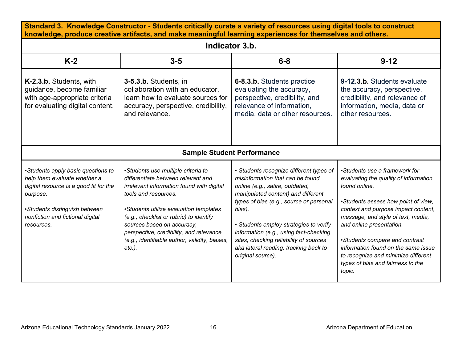| Standard 3. Knowledge Constructor - Students critically curate a variety of resources using digital tools to construct<br>knowledge, produce creative artifacts, and make meaningful learning experiences for themselves and others. |                                                                                                                                                                                                                                                                                                                                                                           |                                                                                                                                                                                                                                                                                                                                                                                                       |                                                                                                                                                                                                                                                                                                                                                                                                        |  |  |
|--------------------------------------------------------------------------------------------------------------------------------------------------------------------------------------------------------------------------------------|---------------------------------------------------------------------------------------------------------------------------------------------------------------------------------------------------------------------------------------------------------------------------------------------------------------------------------------------------------------------------|-------------------------------------------------------------------------------------------------------------------------------------------------------------------------------------------------------------------------------------------------------------------------------------------------------------------------------------------------------------------------------------------------------|--------------------------------------------------------------------------------------------------------------------------------------------------------------------------------------------------------------------------------------------------------------------------------------------------------------------------------------------------------------------------------------------------------|--|--|
|                                                                                                                                                                                                                                      | Indicator 3.b.                                                                                                                                                                                                                                                                                                                                                            |                                                                                                                                                                                                                                                                                                                                                                                                       |                                                                                                                                                                                                                                                                                                                                                                                                        |  |  |
| $K-2$                                                                                                                                                                                                                                | $3 - 5$                                                                                                                                                                                                                                                                                                                                                                   | $6-8$                                                                                                                                                                                                                                                                                                                                                                                                 | $9 - 12$                                                                                                                                                                                                                                                                                                                                                                                               |  |  |
| K-2.3.b. Students, with<br>quidance, become familiar<br>with age-appropriate criteria<br>for evaluating digital content.                                                                                                             | 3-5.3.b. Students, in<br>collaboration with an educator,<br>learn how to evaluate sources for<br>accuracy, perspective, credibility,<br>and relevance.                                                                                                                                                                                                                    | 6-8.3.b. Students practice<br>evaluating the accuracy,<br>perspective, credibility, and<br>relevance of information,<br>media, data or other resources.                                                                                                                                                                                                                                               | 9-12.3.b. Students evaluate<br>the accuracy, perspective,<br>credibility, and relevance of<br>information, media, data or<br>other resources.                                                                                                                                                                                                                                                          |  |  |
|                                                                                                                                                                                                                                      |                                                                                                                                                                                                                                                                                                                                                                           | <b>Sample Student Performance</b>                                                                                                                                                                                                                                                                                                                                                                     |                                                                                                                                                                                                                                                                                                                                                                                                        |  |  |
| •Students apply basic questions to<br>help them evaluate whether a<br>digital resource is a good fit for the<br>purpose.<br>•Students distinguish between<br>nonfiction and fictional digital<br>resources.                          | •Students use multiple criteria to<br>differentiate between relevant and<br>irrelevant information found with digital<br>tools and resources.<br>•Students utilize evaluation templates<br>(e.g., checklist or rubric) to identify<br>sources based on accuracy,<br>perspective, credibility, and relevance<br>(e.g., identifiable author, validity, biases,<br>$etc.$ ). | • Students recognize different types of<br>misinformation that can be found<br>online (e.g., satire, outdated,<br>manipulated content) and different<br>types of bias (e.g., source or personal<br>bias).<br>• Students employ strategies to verify<br>information (e.g., using fact-checking<br>sites, checking reliability of sources<br>aka lateral reading, tracking back to<br>original source). | •Students use a framework for<br>evaluating the quality of information<br>found online.<br>•Students assess how point of view,<br>context and purpose impact content,<br>message, and style of text, media,<br>and online presentation.<br>•Students compare and contrast<br>information found on the same issue<br>to recognize and minimize different<br>types of bias and fairness to the<br>topic. |  |  |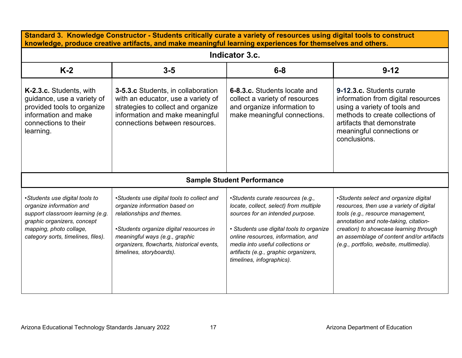| Standard 3. Knowledge Constructor - Students critically curate a variety of resources using digital tools to construct<br>knowledge, produce creative artifacts, and make meaningful learning experiences for themselves and others. |                                                                                                                                                                                                                                                                 |                                                                                                                                                                                                                                                                                                            |                                                                                                                                                                                                                                                                                                   |  |  |
|--------------------------------------------------------------------------------------------------------------------------------------------------------------------------------------------------------------------------------------|-----------------------------------------------------------------------------------------------------------------------------------------------------------------------------------------------------------------------------------------------------------------|------------------------------------------------------------------------------------------------------------------------------------------------------------------------------------------------------------------------------------------------------------------------------------------------------------|---------------------------------------------------------------------------------------------------------------------------------------------------------------------------------------------------------------------------------------------------------------------------------------------------|--|--|
|                                                                                                                                                                                                                                      | Indicator 3.c.                                                                                                                                                                                                                                                  |                                                                                                                                                                                                                                                                                                            |                                                                                                                                                                                                                                                                                                   |  |  |
| $K-2$                                                                                                                                                                                                                                | $3-5$                                                                                                                                                                                                                                                           | $6 - 8$                                                                                                                                                                                                                                                                                                    | $9 - 12$                                                                                                                                                                                                                                                                                          |  |  |
| K-2.3.c. Students, with<br>guidance, use a variety of<br>provided tools to organize<br>information and make<br>connections to their<br>learning.                                                                                     | <b>3-5.3.c</b> Students, in collaboration<br>with an educator, use a variety of<br>strategies to collect and organize<br>information and make meaningful<br>connections between resources.                                                                      | 6-8.3.c. Students locate and<br>collect a variety of resources<br>and organize information to<br>make meaningful connections.                                                                                                                                                                              | 9-12.3.c. Students curate<br>information from digital resources<br>using a variety of tools and<br>methods to create collections of<br>artifacts that demonstrate<br>meaningful connections or<br>conclusions.                                                                                    |  |  |
|                                                                                                                                                                                                                                      |                                                                                                                                                                                                                                                                 | <b>Sample Student Performance</b>                                                                                                                                                                                                                                                                          |                                                                                                                                                                                                                                                                                                   |  |  |
| •Students use digital tools to<br>organize information and<br>support classroom learning (e.g.<br>graphic organizers, concept<br>mapping, photo collage,<br>category sorts, timelines, files).                                       | •Students use digital tools to collect and<br>organize information based on<br>relationships and themes.<br>•Students organize digital resources in<br>meaningful ways (e.g., graphic<br>organizers, flowcharts, historical events,<br>timelines, storyboards). | •Students curate resources (e.g.,<br>locate, collect, select) from multiple<br>sources for an intended purpose.<br>• Students use digital tools to organize<br>online resources, information, and<br>media into useful collections or<br>artifacts (e.g., graphic organizers,<br>timelines, infographics). | •Students select and organize digital<br>resources, then use a variety of digital<br>tools (e.g., resource management,<br>annotation and note-taking, citation-<br>creation) to showcase learning through<br>an assemblage of content and/or artifacts<br>(e.g., portfolio, website, multimedia). |  |  |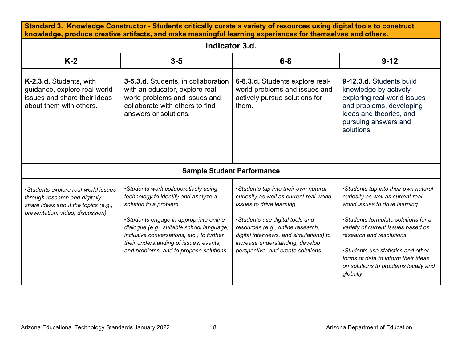| Standard 3. Knowledge Constructor - Students critically curate a variety of resources using digital tools to construct<br>knowledge, produce creative artifacts, and make meaningful learning experiences for themselves and others. |                                                                                                                                                                                                                                                                                                                                 |                                                                                                                                                                                                                                                                                                          |                                                                                                                                                                                                                                                                                                                                                           |  |  |
|--------------------------------------------------------------------------------------------------------------------------------------------------------------------------------------------------------------------------------------|---------------------------------------------------------------------------------------------------------------------------------------------------------------------------------------------------------------------------------------------------------------------------------------------------------------------------------|----------------------------------------------------------------------------------------------------------------------------------------------------------------------------------------------------------------------------------------------------------------------------------------------------------|-----------------------------------------------------------------------------------------------------------------------------------------------------------------------------------------------------------------------------------------------------------------------------------------------------------------------------------------------------------|--|--|
|                                                                                                                                                                                                                                      | Indicator 3.d.                                                                                                                                                                                                                                                                                                                  |                                                                                                                                                                                                                                                                                                          |                                                                                                                                                                                                                                                                                                                                                           |  |  |
| $K-2$                                                                                                                                                                                                                                | $3 - 5$                                                                                                                                                                                                                                                                                                                         | $6 - 8$                                                                                                                                                                                                                                                                                                  | $9 - 12$                                                                                                                                                                                                                                                                                                                                                  |  |  |
| K-2.3.d. Students, with<br>guidance, explore real-world<br>issues and share their ideas<br>about them with others.                                                                                                                   | 3-5.3.d. Students, in collaboration<br>with an educator, explore real-<br>world problems and issues and<br>collaborate with others to find<br>answers or solutions.                                                                                                                                                             | 6-8.3.d. Students explore real-<br>world problems and issues and<br>actively pursue solutions for<br>them.                                                                                                                                                                                               | 9-12.3.d. Students build<br>knowledge by actively<br>exploring real-world issues<br>and problems, developing<br>ideas and theories, and<br>pursuing answers and<br>solutions.                                                                                                                                                                             |  |  |
|                                                                                                                                                                                                                                      | <b>Sample Student Performance</b>                                                                                                                                                                                                                                                                                               |                                                                                                                                                                                                                                                                                                          |                                                                                                                                                                                                                                                                                                                                                           |  |  |
| •Students explore real-world issues<br>through research and digitally<br>share ideas about the topics (e.g.,<br>presentation, video, discussion).                                                                                    | •Students work collaboratively using<br>technology to identify and analyze a<br>solution to a problem.<br>•Students engage in appropriate online<br>dialogue (e.g., suitable school language,<br>inclusive conversations, etc.) to further<br>their understanding of issues, events,<br>and problems, and to propose solutions. | •Students tap into their own natural<br>curiosity as well as current real-world<br>issues to drive learning.<br>•Students use digital tools and<br>resources (e.g., online research,<br>digital interviews, and simulations) to<br>increase understanding, develop<br>perspective, and create solutions. | •Students tap into their own natural<br>curiosity as well as current real-<br>world issues to drive learning.<br>•Students formulate solutions for a<br>variety of current issues based on<br>research and resolutions.<br>•Students use statistics and other<br>forms of data to inform their ideas<br>on solutions to problems locally and<br>globally. |  |  |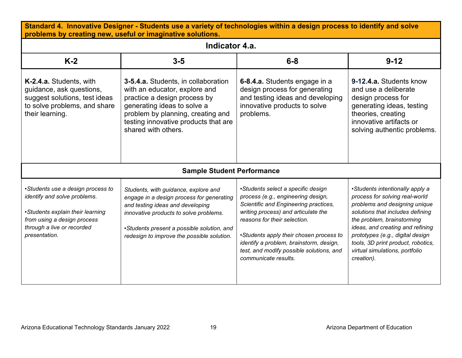| Standard 4. Innovative Designer - Students use a variety of technologies within a design process to identify and solve<br>problems by creating new, useful or imaginative solutions. |                                                                                                                                                                                                                                                             |                                                                                                                                                                                                                                                                                                                                                    |                                                                                                                                                                                                                                                                                                                                    |  |  |
|--------------------------------------------------------------------------------------------------------------------------------------------------------------------------------------|-------------------------------------------------------------------------------------------------------------------------------------------------------------------------------------------------------------------------------------------------------------|----------------------------------------------------------------------------------------------------------------------------------------------------------------------------------------------------------------------------------------------------------------------------------------------------------------------------------------------------|------------------------------------------------------------------------------------------------------------------------------------------------------------------------------------------------------------------------------------------------------------------------------------------------------------------------------------|--|--|
|                                                                                                                                                                                      | Indicator 4.a.                                                                                                                                                                                                                                              |                                                                                                                                                                                                                                                                                                                                                    |                                                                                                                                                                                                                                                                                                                                    |  |  |
| $K-2$                                                                                                                                                                                | $3-5$                                                                                                                                                                                                                                                       | $6-8$                                                                                                                                                                                                                                                                                                                                              | $9 - 12$                                                                                                                                                                                                                                                                                                                           |  |  |
| K-2.4.a. Students, with<br>guidance, ask questions,<br>suggest solutions, test ideas<br>to solve problems, and share<br>their learning.                                              | 3-5.4.a. Students, in collaboration<br>with an educator, explore and<br>practice a design process by<br>generating ideas to solve a<br>problem by planning, creating and<br>testing innovative products that are<br>shared with others.                     | 6-8.4.a. Students engage in a<br>design process for generating<br>and testing ideas and developing<br>innovative products to solve<br>problems.                                                                                                                                                                                                    | 9-12.4.a. Students know<br>and use a deliberate<br>design process for<br>generating ideas, testing<br>theories, creating<br>innovative artifacts or<br>solving authentic problems.                                                                                                                                                 |  |  |
|                                                                                                                                                                                      | <b>Sample Student Performance</b>                                                                                                                                                                                                                           |                                                                                                                                                                                                                                                                                                                                                    |                                                                                                                                                                                                                                                                                                                                    |  |  |
| •Students use a design process to<br>identify and solve problems.<br>•Students explain their learning<br>from using a design process<br>through a live or recorded<br>presentation.  | Students, with guidance, explore and<br>engage in a design process for generating<br>and testing ideas and developing<br>innovative products to solve problems.<br>•Students present a possible solution, and<br>redesign to improve the possible solution. | •Students select a specific design<br>process (e.g., engineering design,<br>Scientific and Engineering practices,<br>writing process) and articulate the<br>reasons for their selection.<br>•Students apply their chosen process to<br>identify a problem, brainstorm, design,<br>test, and modify possible solutions, and<br>communicate results. | •Students intentionally apply a<br>process for solving real-world<br>problems and designing unique<br>solutions that includes defining<br>the problem, brainstorming<br>ideas, and creating and refining<br>prototypes (e.g., digital design<br>tools, 3D print product, robotics,<br>virtual simulations, portfolio<br>creation). |  |  |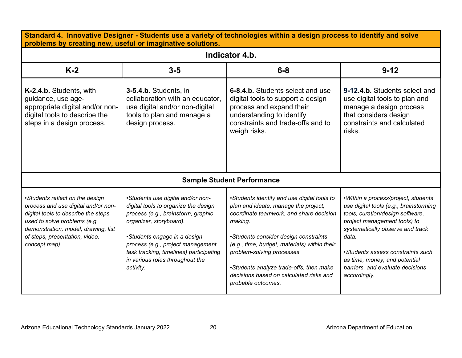| Standard 4. Innovative Designer - Students use a variety of technologies within a design process to identify and solve<br>problems by creating new, useful or imaginative solutions.                                                    |                                                                                                                                                                                                                                                                                                             |                                                                                                                                                                                                                                                                                                                                                                              |                                                                                                                                                                                                                                                                                                                          |  |
|-----------------------------------------------------------------------------------------------------------------------------------------------------------------------------------------------------------------------------------------|-------------------------------------------------------------------------------------------------------------------------------------------------------------------------------------------------------------------------------------------------------------------------------------------------------------|------------------------------------------------------------------------------------------------------------------------------------------------------------------------------------------------------------------------------------------------------------------------------------------------------------------------------------------------------------------------------|--------------------------------------------------------------------------------------------------------------------------------------------------------------------------------------------------------------------------------------------------------------------------------------------------------------------------|--|
|                                                                                                                                                                                                                                         |                                                                                                                                                                                                                                                                                                             | Indicator 4.b.                                                                                                                                                                                                                                                                                                                                                               |                                                                                                                                                                                                                                                                                                                          |  |
| $K-2$                                                                                                                                                                                                                                   | $3-5$                                                                                                                                                                                                                                                                                                       | $6 - 8$                                                                                                                                                                                                                                                                                                                                                                      | $9 - 12$                                                                                                                                                                                                                                                                                                                 |  |
| K-2.4.b. Students, with<br>guidance, use age-<br>appropriate digital and/or non-<br>digital tools to describe the<br>steps in a design process.                                                                                         | 3-5.4.b. Students, in<br>collaboration with an educator,<br>use digital and/or non-digital<br>tools to plan and manage a<br>design process.                                                                                                                                                                 | 6-8.4.b. Students select and use<br>digital tools to support a design<br>process and expand their<br>understanding to identify<br>constraints and trade-offs and to<br>weigh risks.                                                                                                                                                                                          | 9-12.4.b. Students select and<br>use digital tools to plan and<br>manage a design process<br>that considers design<br>constraints and calculated<br>risks.                                                                                                                                                               |  |
|                                                                                                                                                                                                                                         |                                                                                                                                                                                                                                                                                                             | <b>Sample Student Performance</b>                                                                                                                                                                                                                                                                                                                                            |                                                                                                                                                                                                                                                                                                                          |  |
| •Students reflect on the design<br>process and use digital and/or non-<br>digital tools to describe the steps<br>used to solve problems (e.g.<br>demonstration, model, drawing, list<br>of steps, presentation, video,<br>concept map). | •Students use digital and/or non-<br>digital tools to organize the design<br>process (e.g., brainstorm, graphic<br>organizer, storyboard).<br>•Students engage in a design<br>process (e.g., project management,<br>task tracking, timelines) participating<br>in various roles throughout the<br>activity. | •Students identify and use digital tools to<br>plan and ideate, manage the project,<br>coordinate teamwork, and share decision<br>making.<br>•Students consider design constraints<br>(e.g., time, budget, materials) within their<br>problem-solving processes.<br>•Students analyze trade-offs, then make<br>decisions based on calculated risks and<br>probable outcomes. | •Within a process/project, students<br>use digital tools (e.g., brainstorming<br>tools, curation/design software,<br>project management tools) to<br>systematically observe and track<br>data.<br>•Students assess constraints such<br>as time, money, and potential<br>barriers, and evaluate decisions<br>accordingly. |  |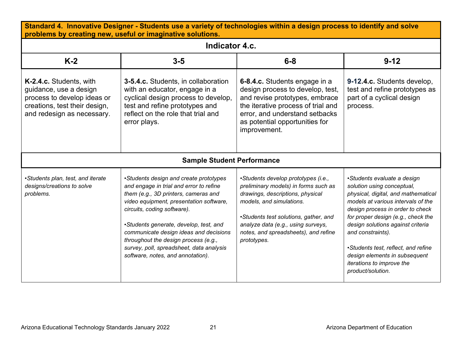| Standard 4. Innovative Designer - Students use a variety of technologies within a design process to identify and solve<br>problems by creating new, useful or imaginative solutions. |                                                                                                                                                                                                                                                                                                                                                                                                                  |                                                                                                                                                                                                                                                                                   |                                                                                                                                                                                                                                                                                                                                                                                                      |
|--------------------------------------------------------------------------------------------------------------------------------------------------------------------------------------|------------------------------------------------------------------------------------------------------------------------------------------------------------------------------------------------------------------------------------------------------------------------------------------------------------------------------------------------------------------------------------------------------------------|-----------------------------------------------------------------------------------------------------------------------------------------------------------------------------------------------------------------------------------------------------------------------------------|------------------------------------------------------------------------------------------------------------------------------------------------------------------------------------------------------------------------------------------------------------------------------------------------------------------------------------------------------------------------------------------------------|
|                                                                                                                                                                                      | Indicator 4.c.                                                                                                                                                                                                                                                                                                                                                                                                   |                                                                                                                                                                                                                                                                                   |                                                                                                                                                                                                                                                                                                                                                                                                      |
| $K-2$                                                                                                                                                                                | $3-5$                                                                                                                                                                                                                                                                                                                                                                                                            | $6 - 8$                                                                                                                                                                                                                                                                           | $9 - 12$                                                                                                                                                                                                                                                                                                                                                                                             |
| K-2.4.c. Students, with<br>guidance, use a design<br>process to develop ideas or<br>creations, test their design,<br>and redesign as necessary.                                      | <b>3-5.4.c.</b> Students, in collaboration<br>with an educator, engage in a<br>cyclical design process to develop,<br>test and refine prototypes and<br>reflect on the role that trial and<br>error plays.                                                                                                                                                                                                       | 6-8.4.c. Students engage in a<br>design process to develop, test,<br>and revise prototypes, embrace<br>the iterative process of trial and<br>error, and understand setbacks<br>as potential opportunities for<br>improvement.                                                     | 9-12.4.c. Students develop,<br>test and refine prototypes as<br>part of a cyclical design<br>process.                                                                                                                                                                                                                                                                                                |
|                                                                                                                                                                                      | <b>Sample Student Performance</b>                                                                                                                                                                                                                                                                                                                                                                                |                                                                                                                                                                                                                                                                                   |                                                                                                                                                                                                                                                                                                                                                                                                      |
| •Students plan, test, and iterate<br>designs/creations to solve<br>problems.                                                                                                         | •Students design and create prototypes<br>and engage in trial and error to refine<br>them (e.g., 3D printers, cameras and<br>video equipment, presentation software,<br>circuits, coding software).<br>•Students generate, develop, test, and<br>communicate design ideas and decisions<br>throughout the design process (e.g.,<br>survey, poll, spreadsheet, data analysis<br>software, notes, and annotation). | •Students develop prototypes (i.e.,<br>preliminary models) in forms such as<br>drawings, descriptions, physical<br>models, and simulations.<br>•Students test solutions, gather, and<br>analyze data (e.g., using surveys,<br>notes, and spreadsheets), and refine<br>prototypes. | •Students evaluate a design<br>solution using conceptual,<br>physical, digital, and mathematical<br>models at various intervals of the<br>design process in order to check<br>for proper design (e.g., check the<br>design solutions against criteria<br>and constraints).<br>•Students test, reflect, and refine<br>design elements in subsequent<br>iterations to improve the<br>product/solution. |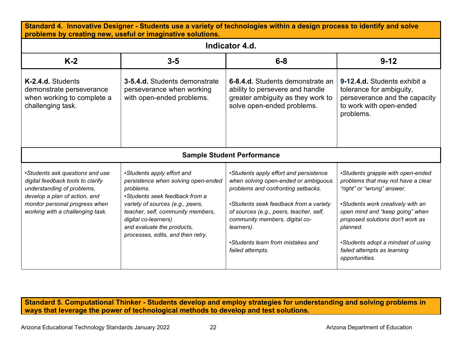| Standard 4. Innovative Designer - Students use a variety of technologies within a design process to identify and solve<br>problems by creating new, useful or imaginative solutions.                      |                                                                                                                                                                                                                                                                                      |                                                                                                                                                                                                                                                                                                                    |                                                                                                                                                                                                                                                                                                                      |  |  |
|-----------------------------------------------------------------------------------------------------------------------------------------------------------------------------------------------------------|--------------------------------------------------------------------------------------------------------------------------------------------------------------------------------------------------------------------------------------------------------------------------------------|--------------------------------------------------------------------------------------------------------------------------------------------------------------------------------------------------------------------------------------------------------------------------------------------------------------------|----------------------------------------------------------------------------------------------------------------------------------------------------------------------------------------------------------------------------------------------------------------------------------------------------------------------|--|--|
|                                                                                                                                                                                                           | Indicator 4.d.                                                                                                                                                                                                                                                                       |                                                                                                                                                                                                                                                                                                                    |                                                                                                                                                                                                                                                                                                                      |  |  |
| $K-2$                                                                                                                                                                                                     | $3 - 5$                                                                                                                                                                                                                                                                              | $6-8$                                                                                                                                                                                                                                                                                                              | $9 - 12$                                                                                                                                                                                                                                                                                                             |  |  |
| K-2.4.d. Students<br>demonstrate perseverance<br>when working to complete a<br>challenging task.                                                                                                          | 3-5.4.d. Students demonstrate<br>perseverance when working<br>with open-ended problems.                                                                                                                                                                                              | 6-8.4.d. Students demonstrate an<br>ability to persevere and handle<br>greater ambiguity as they work to<br>solve open-ended problems.                                                                                                                                                                             | 9-12.4.d. Students exhibit a<br>tolerance for ambiguity,<br>perseverance and the capacity<br>to work with open-ended<br>problems.                                                                                                                                                                                    |  |  |
|                                                                                                                                                                                                           |                                                                                                                                                                                                                                                                                      | <b>Sample Student Performance</b>                                                                                                                                                                                                                                                                                  |                                                                                                                                                                                                                                                                                                                      |  |  |
| •Students ask questions and use<br>digital feedback tools to clarify<br>understanding of problems,<br>develop a plan of action, and<br>monitor personal progress when<br>working with a challenging task. | •Students apply effort and<br>persistence when solving open-ended<br>problems.<br>•Students seek feedback from a<br>variety of sources (e.g., peers,<br>teacher, self, community members,<br>digital co-learners)<br>and evaluate the products,<br>processes, edits, and then retry. | •Students apply effort and persistence<br>when solving open-ended or ambiguous<br>problems and confronting setbacks.<br>•Students seek feedback from a variety<br>of sources (e.g., peers, teacher, self,<br>community members, digital co-<br>learners).<br>•Students learn from mistakes and<br>failed attempts. | •Students grapple with open-ended<br>problems that may not have a clear<br>"right" or "wrong" answer.<br>•Students work creatively with an<br>open mind and "keep going" when<br>proposed solutions don't work as<br>planned.<br>•Students adopt a mindset of using<br>failed attempts as learning<br>opportunities. |  |  |

**Standard 5. Computational Thinker - Students develop and employ strategies for understanding and solving problems in ways that leverage the power of technological methods to develop and test solutions.**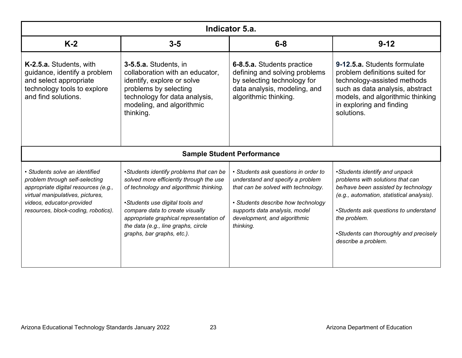| Indicator 5.a.                                                                                                                                                                                                   |                                                                                                                                                                                                                                                                                                                     |                                                                                                                                                                                                                                     |                                                                                                                                                                                                                                                                                 |
|------------------------------------------------------------------------------------------------------------------------------------------------------------------------------------------------------------------|---------------------------------------------------------------------------------------------------------------------------------------------------------------------------------------------------------------------------------------------------------------------------------------------------------------------|-------------------------------------------------------------------------------------------------------------------------------------------------------------------------------------------------------------------------------------|---------------------------------------------------------------------------------------------------------------------------------------------------------------------------------------------------------------------------------------------------------------------------------|
| $K-2$                                                                                                                                                                                                            | $3 - 5$                                                                                                                                                                                                                                                                                                             | $6-8$                                                                                                                                                                                                                               | $9 - 12$                                                                                                                                                                                                                                                                        |
| K-2.5.a. Students, with<br>guidance, identify a problem<br>and select appropriate<br>technology tools to explore<br>and find solutions.                                                                          | 3-5.5.a. Students, in<br>collaboration with an educator,<br>identify, explore or solve<br>problems by selecting<br>technology for data analysis,<br>modeling, and algorithmic<br>thinking.                                                                                                                          | 6-8.5.a. Students practice<br>defining and solving problems<br>by selecting technology for<br>data analysis, modeling, and<br>algorithmic thinking.                                                                                 | 9-12.5.a. Students formulate<br>problem definitions suited for<br>technology-assisted methods<br>such as data analysis, abstract<br>models, and algorithmic thinking<br>in exploring and finding<br>solutions.                                                                  |
|                                                                                                                                                                                                                  |                                                                                                                                                                                                                                                                                                                     | <b>Sample Student Performance</b>                                                                                                                                                                                                   |                                                                                                                                                                                                                                                                                 |
| • Students solve an identified<br>problem through self-selecting<br>appropriate digital resources (e.g.,<br>virtual manipulatives, pictures,<br>videos, educator-provided<br>resources, block-coding, robotics). | •Students identify problems that can be<br>solved more efficiently through the use<br>of technology and algorithmic thinking.<br>•Students use digital tools and<br>compare data to create visually<br>appropriate graphical representation of<br>the data (e.g., line graphs, circle<br>graphs, bar graphs, etc.). | • Students ask questions in order to<br>understand and specify a problem<br>that can be solved with technology.<br>• Students describe how technology<br>supports data analysis, model<br>development, and algorithmic<br>thinking. | •Students identify and unpack<br>problems with solutions that can<br>be/have been assisted by technology<br>(e.g., automation, statistical analysis).<br>•Students ask questions to understand<br>the problem.<br>•Students can thoroughly and precisely<br>describe a problem. |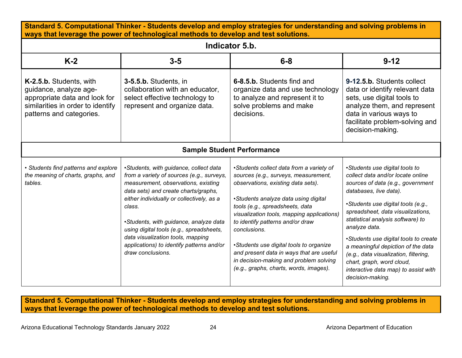| Standard 5. Computational Thinker - Students develop and employ strategies for understanding and solving problems in<br>ways that leverage the power of technological methods to develop and test solutions. |                                                                                                                                                                                                                                                                                                                                                                                                                        |                                                                                                                                                                                                                                                                                                                                                                                                                                                                                |                                                                                                                                                                                                                                                                                                                                                                                                                                                                                      |  |
|--------------------------------------------------------------------------------------------------------------------------------------------------------------------------------------------------------------|------------------------------------------------------------------------------------------------------------------------------------------------------------------------------------------------------------------------------------------------------------------------------------------------------------------------------------------------------------------------------------------------------------------------|--------------------------------------------------------------------------------------------------------------------------------------------------------------------------------------------------------------------------------------------------------------------------------------------------------------------------------------------------------------------------------------------------------------------------------------------------------------------------------|--------------------------------------------------------------------------------------------------------------------------------------------------------------------------------------------------------------------------------------------------------------------------------------------------------------------------------------------------------------------------------------------------------------------------------------------------------------------------------------|--|
|                                                                                                                                                                                                              |                                                                                                                                                                                                                                                                                                                                                                                                                        | Indicator 5.b.                                                                                                                                                                                                                                                                                                                                                                                                                                                                 |                                                                                                                                                                                                                                                                                                                                                                                                                                                                                      |  |
| $K-2$                                                                                                                                                                                                        | $3-5$                                                                                                                                                                                                                                                                                                                                                                                                                  | $6 - 8$                                                                                                                                                                                                                                                                                                                                                                                                                                                                        | $9 - 12$                                                                                                                                                                                                                                                                                                                                                                                                                                                                             |  |
| K-2.5.b. Students, with<br>guidance, analyze age-<br>appropriate data and look for<br>similarities in order to identify<br>patterns and categories.                                                          | 3-5.5.b. Students, in<br>collaboration with an educator,<br>select effective technology to<br>represent and organize data.                                                                                                                                                                                                                                                                                             | 6-8.5.b. Students find and<br>organize data and use technology<br>to analyze and represent it to<br>solve problems and make<br>decisions.                                                                                                                                                                                                                                                                                                                                      | 9-12.5.b. Students collect<br>data or identify relevant data<br>sets, use digital tools to<br>analyze them, and represent<br>data in various ways to<br>facilitate problem-solving and<br>decision-making.                                                                                                                                                                                                                                                                           |  |
|                                                                                                                                                                                                              |                                                                                                                                                                                                                                                                                                                                                                                                                        | <b>Sample Student Performance</b>                                                                                                                                                                                                                                                                                                                                                                                                                                              |                                                                                                                                                                                                                                                                                                                                                                                                                                                                                      |  |
| • Students find patterns and explore<br>the meaning of charts, graphs, and<br>tables.                                                                                                                        | •Students, with guidance, collect data<br>from a variety of sources (e.g., surveys,<br>measurement, observations, existing<br>data sets) and create charts/graphs,<br>either individually or collectively, as a<br>class.<br>•Students, with guidance, analyze data<br>using digital tools (e.g., spreadsheets,<br>data visualization tools, mapping<br>applications) to identify patterns and/or<br>draw conclusions. | •Students collect data from a variety of<br>sources (e.g., surveys, measurement,<br>observations, existing data sets).<br>•Students analyze data using digital<br>tools (e.g., spreadsheets, data<br>visualization tools, mapping applications)<br>to identify patterns and/or draw<br>conclusions.<br>•Students use digital tools to organize<br>and present data in ways that are useful<br>in decision-making and problem solving<br>(e.g., graphs, charts, words, images). | •Students use digital tools to<br>collect data and/or locate online<br>sources of data (e.g., government<br>databases, live data).<br>•Students use digital tools (e.g.,<br>spreadsheet, data visualizations,<br>statistical analysis software) to<br>analyze data.<br>•Students use digital tools to create<br>a meaningful depiction of the data<br>(e.g., data visualization, filtering,<br>chart, graph, word cloud,<br>interactive data map) to assist with<br>decision-making. |  |

**Standard 5. Computational Thinker - Students develop and employ strategies for understanding and solving problems in ways that leverage the power of technological methods to develop and test solutions.**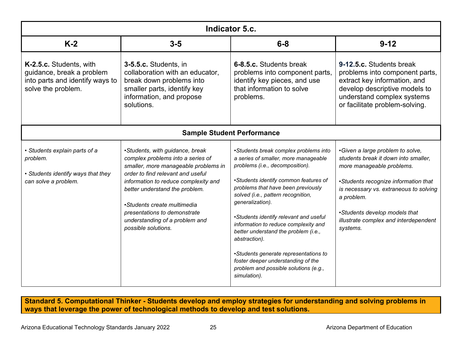| Indicator 5.c.                                                                                                |                                                                                                                                                                                                                                                                                                                                                     |                                                                                                                                                                                                                                                                                                                                                                                                                                                                                                                                              |                                                                                                                                                                                                                                                                                             |
|---------------------------------------------------------------------------------------------------------------|-----------------------------------------------------------------------------------------------------------------------------------------------------------------------------------------------------------------------------------------------------------------------------------------------------------------------------------------------------|----------------------------------------------------------------------------------------------------------------------------------------------------------------------------------------------------------------------------------------------------------------------------------------------------------------------------------------------------------------------------------------------------------------------------------------------------------------------------------------------------------------------------------------------|---------------------------------------------------------------------------------------------------------------------------------------------------------------------------------------------------------------------------------------------------------------------------------------------|
| $K-2$                                                                                                         | $3-5$                                                                                                                                                                                                                                                                                                                                               | $6 - 8$                                                                                                                                                                                                                                                                                                                                                                                                                                                                                                                                      | $9 - 12$                                                                                                                                                                                                                                                                                    |
| K-2.5.c. Students, with<br>guidance, break a problem<br>into parts and identify ways to<br>solve the problem. | 3-5.5.c. Students, in<br>collaboration with an educator,<br>break down problems into<br>smaller parts, identify key<br>information, and propose<br>solutions.                                                                                                                                                                                       | 6-8.5.c. Students break<br>problems into component parts,<br>identify key pieces, and use<br>that information to solve<br>problems.                                                                                                                                                                                                                                                                                                                                                                                                          | 9-12.5.c. Students break<br>problems into component parts,<br>extract key information, and<br>develop descriptive models to<br>understand complex systems<br>or facilitate problem-solving.                                                                                                 |
|                                                                                                               |                                                                                                                                                                                                                                                                                                                                                     | <b>Sample Student Performance</b>                                                                                                                                                                                                                                                                                                                                                                                                                                                                                                            |                                                                                                                                                                                                                                                                                             |
| • Students explain parts of a<br>problem.<br>• Students identify ways that they<br>can solve a problem.       | •Students, with guidance, break<br>complex problems into a series of<br>smaller, more manageable problems in<br>order to find relevant and useful<br>information to reduce complexity and<br>better understand the problem.<br>•Students create multimedia<br>presentations to demonstrate<br>understanding of a problem and<br>possible solutions. | •Students break complex problems into<br>a series of smaller, more manageable<br>problems (i.e., decomposition).<br>•Students identify common features of<br>problems that have been previously<br>solved (i.e., pattern recognition,<br>generalization).<br>•Students identify relevant and useful<br>information to reduce complexity and<br>better understand the problem (i.e.,<br>abstraction).<br>•Students generate representations to<br>foster deeper understanding of the<br>problem and possible solutions (e.g.,<br>simulation). | •Given a large problem to solve,<br>students break it down into smaller,<br>more manageable problems.<br>•Students recognize information that<br>is necessary vs. extraneous to solving<br>a problem.<br>•Students develop models that<br>illustrate complex and interdependent<br>systems. |

**Standard 5. Computational Thinker - Students develop and employ strategies for understanding and solving problems in ways that leverage the power of technological methods to develop and test solutions.**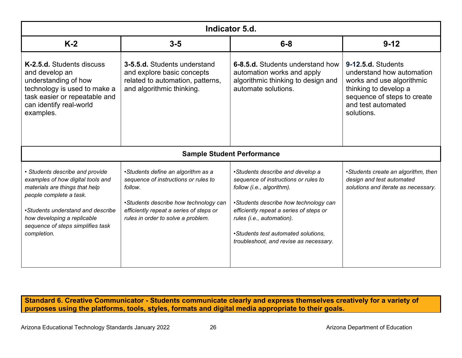| Indicator 5.d.                                                                                                                                                                                                                                            |                                                                                                                                                                                                                 |                                                                                                                                                                                                                                                                                                         |                                                                                                                                                                          |
|-----------------------------------------------------------------------------------------------------------------------------------------------------------------------------------------------------------------------------------------------------------|-----------------------------------------------------------------------------------------------------------------------------------------------------------------------------------------------------------------|---------------------------------------------------------------------------------------------------------------------------------------------------------------------------------------------------------------------------------------------------------------------------------------------------------|--------------------------------------------------------------------------------------------------------------------------------------------------------------------------|
| $K-2$                                                                                                                                                                                                                                                     | $3-5$                                                                                                                                                                                                           | $6 - 8$                                                                                                                                                                                                                                                                                                 | $9 - 12$                                                                                                                                                                 |
| K-2.5.d. Students discuss<br>and develop an<br>understanding of how<br>technology is used to make a<br>task easier or repeatable and<br>can identify real-world<br>examples.                                                                              | 3-5.5.d. Students understand<br>and explore basic concepts<br>related to automation, patterns,<br>and algorithmic thinking.                                                                                     | 6-8.5.d. Students understand how<br>automation works and apply<br>algorithmic thinking to design and<br>automate solutions.                                                                                                                                                                             | 9-12.5.d. Students<br>understand how automation<br>works and use algorithmic<br>thinking to develop a<br>sequence of steps to create<br>and test automated<br>solutions. |
|                                                                                                                                                                                                                                                           |                                                                                                                                                                                                                 | <b>Sample Student Performance</b>                                                                                                                                                                                                                                                                       |                                                                                                                                                                          |
| · Students describe and provide<br>examples of how digital tools and<br>materials are things that help<br>people complete a task.<br>•Students understand and describe<br>how developing a replicable<br>sequence of steps simplifies task<br>completion. | •Students define an algorithm as a<br>sequence of instructions or rules to<br>follow.<br>•Students describe how technology can<br>efficiently repeat a series of steps or<br>rules in order to solve a problem. | •Students describe and develop a<br>sequence of instructions or rules to<br>follow (i.e., algorithm).<br>•Students describe how technology can<br>efficiently repeat a series of steps or<br>rules (i.e., automation).<br>•Students test automated solutions,<br>troubleshoot, and revise as necessary. | •Students create an algorithm, then<br>design and test automated<br>solutions and iterate as necessary.                                                                  |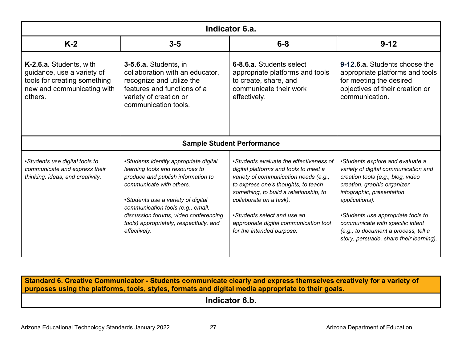| Indicator 6.a.                                                                                                                 |                                                                                                                                                                                                                                                                                                                            |                                                                                                                                                                                                                                                                                                                                             |                                                                                                                                                                                                                                                                                                                                                           |
|--------------------------------------------------------------------------------------------------------------------------------|----------------------------------------------------------------------------------------------------------------------------------------------------------------------------------------------------------------------------------------------------------------------------------------------------------------------------|---------------------------------------------------------------------------------------------------------------------------------------------------------------------------------------------------------------------------------------------------------------------------------------------------------------------------------------------|-----------------------------------------------------------------------------------------------------------------------------------------------------------------------------------------------------------------------------------------------------------------------------------------------------------------------------------------------------------|
| $K-2$                                                                                                                          | $3 - 5$                                                                                                                                                                                                                                                                                                                    | $6-8$                                                                                                                                                                                                                                                                                                                                       | $9 - 12$                                                                                                                                                                                                                                                                                                                                                  |
| K-2.6.a. Students, with<br>quidance, use a variety of<br>tools for creating something<br>new and communicating with<br>others. | 3-5.6.a. Students, in<br>collaboration with an educator,<br>recognize and utilize the<br>features and functions of a<br>variety of creation or<br>communication tools.                                                                                                                                                     | 6-8.6.a. Students select<br>appropriate platforms and tools<br>to create, share, and<br>communicate their work<br>effectively.                                                                                                                                                                                                              | 9-12.6.a. Students choose the<br>appropriate platforms and tools<br>for meeting the desired<br>objectives of their creation or<br>communication.                                                                                                                                                                                                          |
|                                                                                                                                |                                                                                                                                                                                                                                                                                                                            | <b>Sample Student Performance</b>                                                                                                                                                                                                                                                                                                           |                                                                                                                                                                                                                                                                                                                                                           |
| •Students use digital tools to<br>communicate and express their<br>thinking, ideas, and creativity.                            | •Students identify appropriate digital<br>learning tools and resources to<br>produce and publish information to<br>communicate with others.<br>•Students use a variety of digital<br>communication tools (e.g., email,<br>discussion forums, video conferencing<br>tools) appropriately, respectfully, and<br>effectively. | •Students evaluate the effectiveness of<br>digital platforms and tools to meet a<br>variety of communication needs (e.g.,<br>to express one's thoughts, to teach<br>something, to build a relationship, to<br>collaborate on a task).<br>•Students select and use an<br>appropriate digital communication tool<br>for the intended purpose. | •Students explore and evaluate a<br>variety of digital communication and<br>creation tools (e.g., blog, video<br>creation, graphic organizer,<br>infographic, presentation<br>applications).<br>•Students use appropriate tools to<br>communicate with specific intent<br>(e.g., to document a process, tell a<br>story, persuade, share their learning). |

**Indicator 6.b.**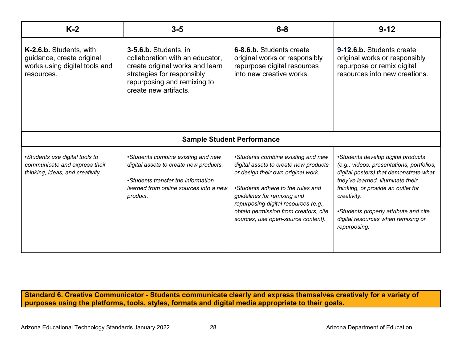| $K-2$                                                                                               | $3-5$                                                                                                                                                                             | $6 - 8$                                                                                                                                                                                                                                                                                                      | $9 - 12$                                                                                                                                                                                                                                                                                                           |
|-----------------------------------------------------------------------------------------------------|-----------------------------------------------------------------------------------------------------------------------------------------------------------------------------------|--------------------------------------------------------------------------------------------------------------------------------------------------------------------------------------------------------------------------------------------------------------------------------------------------------------|--------------------------------------------------------------------------------------------------------------------------------------------------------------------------------------------------------------------------------------------------------------------------------------------------------------------|
| K-2.6.b. Students, with<br>guidance, create original<br>works using digital tools and<br>resources. | 3-5.6.b. Students, in<br>collaboration with an educator,<br>create original works and learn<br>strategies for responsibly<br>repurposing and remixing to<br>create new artifacts. | 6-8.6.b. Students create<br>original works or responsibly<br>repurpose digital resources<br>into new creative works.                                                                                                                                                                                         | 9-12.6.b. Students create<br>original works or responsibly<br>repurpose or remix digital<br>resources into new creations.                                                                                                                                                                                          |
|                                                                                                     |                                                                                                                                                                                   | <b>Sample Student Performance</b>                                                                                                                                                                                                                                                                            |                                                                                                                                                                                                                                                                                                                    |
| •Students use digital tools to<br>communicate and express their<br>thinking, ideas, and creativity. | •Students combine existing and new<br>digital assets to create new products.<br>•Students transfer the information<br>learned from online sources into a new<br>product.          | •Students combine existing and new<br>digital assets to create new products<br>or design their own original work.<br>•Students adhere to the rules and<br>guidelines for remixing and<br>repurposing digital resources (e.g.,<br>obtain permission from creators, cite<br>sources, use open-source content). | •Students develop digital products<br>(e.g., videos, presentations, portfolios,<br>digital posters) that demonstrate what<br>they've learned, illuminate their<br>thinking, or provide an outlet for<br>creativity.<br>•Students properly attribute and cite<br>digital resources when remixing or<br>repurposing. |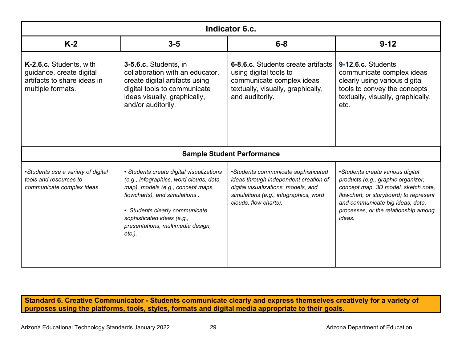| Indicator 6.c.                                                                                          |                                                                                                                                                                                                                                                                            |                                                                                                                                                                                       |                                                                                                                                                                                                                                               |
|---------------------------------------------------------------------------------------------------------|----------------------------------------------------------------------------------------------------------------------------------------------------------------------------------------------------------------------------------------------------------------------------|---------------------------------------------------------------------------------------------------------------------------------------------------------------------------------------|-----------------------------------------------------------------------------------------------------------------------------------------------------------------------------------------------------------------------------------------------|
| $K-2$                                                                                                   | $3-5$                                                                                                                                                                                                                                                                      | $6-8$                                                                                                                                                                                 | $9 - 12$                                                                                                                                                                                                                                      |
| K-2.6.c. Students, with<br>guidance, create digital<br>artifacts to share ideas in<br>multiple formats. | 3-5.6.c. Students, in<br>collaboration with an educator,<br>create digital artifacts using<br>digital tools to communicate<br>ideas visually, graphically,<br>and/or auditorily.                                                                                           | 6-8.6.c. Students create artifacts<br>using digital tools to<br>communicate complex ideas<br>textually, visually, graphically,<br>and auditorily.                                     | 9-12.6.c. Students<br>communicate complex ideas<br>clearly using various digital<br>tools to convey the concepts<br>textually, visually, graphically,<br>etc.                                                                                 |
|                                                                                                         |                                                                                                                                                                                                                                                                            | <b>Sample Student Performance</b>                                                                                                                                                     |                                                                                                                                                                                                                                               |
| •Students use a variety of digital<br>tools and resources to<br>communicate complex ideas.              | • Students create digital visualizations<br>(e.g., infographics, word clouds, data<br>map), models (e.g., concept maps,<br>flowcharts), and simulations.<br>• Students clearly communicate<br>sophisticated ideas (e.g.,<br>presentations, multimedia design,<br>$etc.$ ). | •Students communicate sophisticated<br>ideas through independent creation of<br>digital visualizations, models, and<br>simulations (e.g., infographics, word<br>clouds, flow charts). | •Students create various digital<br>products (e.g., graphic organizer,<br>concept map, 3D model, sketch note,<br>flowchart, or storyboard) to represent<br>and communicate big ideas, data,<br>processes, or the relationship among<br>ideas. |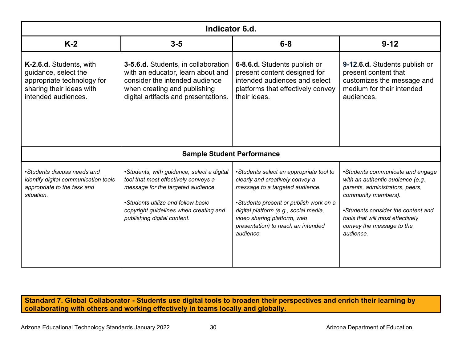| Indicator 6.d.                                                                                                                   |                                                                                                                                                                                                                                         |                                                                                                                                                                                                                                                                                    |                                                                                                                                                                                                                                                     |
|----------------------------------------------------------------------------------------------------------------------------------|-----------------------------------------------------------------------------------------------------------------------------------------------------------------------------------------------------------------------------------------|------------------------------------------------------------------------------------------------------------------------------------------------------------------------------------------------------------------------------------------------------------------------------------|-----------------------------------------------------------------------------------------------------------------------------------------------------------------------------------------------------------------------------------------------------|
| $K-2$                                                                                                                            | $3-5$                                                                                                                                                                                                                                   | $6-8$                                                                                                                                                                                                                                                                              | $9 - 12$                                                                                                                                                                                                                                            |
| K-2.6.d. Students, with<br>guidance, select the<br>appropriate technology for<br>sharing their ideas with<br>intended audiences. | <b>3-5.6.d.</b> Students, in collaboration<br>with an educator, learn about and<br>consider the intended audience<br>when creating and publishing<br>digital artifacts and presentations.                                               | 6-8.6.d. Students publish or<br>present content designed for<br>intended audiences and select<br>platforms that effectively convey<br>their ideas.                                                                                                                                 | 9-12.6.d. Students publish or<br>present content that<br>customizes the message and<br>medium for their intended<br>audiences.                                                                                                                      |
|                                                                                                                                  | <b>Sample Student Performance</b>                                                                                                                                                                                                       |                                                                                                                                                                                                                                                                                    |                                                                                                                                                                                                                                                     |
| •Students discuss needs and<br>identify digital communication tools<br>appropriate to the task and<br>situation.                 | •Students, with guidance, select a digital<br>tool that most effectively conveys a<br>message for the targeted audience.<br>•Students utilize and follow basic<br>copyright guidelines when creating and<br>publishing digital content. | •Students select an appropriate tool to<br>clearly and creatively convey a<br>message to a targeted audience.<br>•Students present or publish work on a<br>digital platform (e.g., social media,<br>video sharing platform, web<br>presentation) to reach an intended<br>audience. | •Students communicate and engage<br>with an authentic audience (e.g.,<br>parents, administrators, peers,<br>community members).<br>•Students consider the content and<br>tools that will most effectively<br>convey the message to the<br>audience. |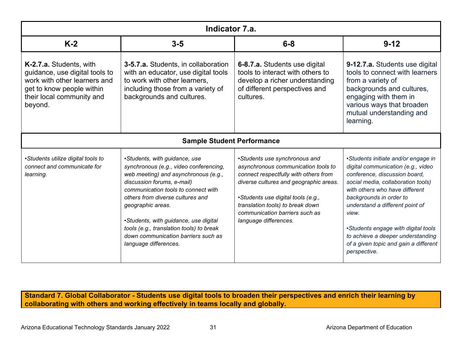| Indicator 7.a.                                                                                                                                                 |                                                                                                                                                                                                                                                                                                                                                                                                    |                                                                                                                                                                                                                                                                                              |                                                                                                                                                                                                                                                                                                                                                                                                |  |  |
|----------------------------------------------------------------------------------------------------------------------------------------------------------------|----------------------------------------------------------------------------------------------------------------------------------------------------------------------------------------------------------------------------------------------------------------------------------------------------------------------------------------------------------------------------------------------------|----------------------------------------------------------------------------------------------------------------------------------------------------------------------------------------------------------------------------------------------------------------------------------------------|------------------------------------------------------------------------------------------------------------------------------------------------------------------------------------------------------------------------------------------------------------------------------------------------------------------------------------------------------------------------------------------------|--|--|
| $K-2$                                                                                                                                                          | $3 - 5$                                                                                                                                                                                                                                                                                                                                                                                            | $6-8$                                                                                                                                                                                                                                                                                        | $9 - 12$                                                                                                                                                                                                                                                                                                                                                                                       |  |  |
| K-2.7.a. Students, with<br>guidance, use digital tools to<br>work with other learners and<br>get to know people within<br>their local community and<br>beyond. | 3-5.7.a. Students, in collaboration<br>with an educator, use digital tools<br>to work with other learners,<br>including those from a variety of<br>backgrounds and cultures.                                                                                                                                                                                                                       | 6-8.7.a. Students use digital<br>tools to interact with others to<br>develop a richer understanding<br>of different perspectives and<br>cultures.                                                                                                                                            | 9-12.7.a. Students use digital<br>tools to connect with learners<br>from a variety of<br>backgrounds and cultures,<br>engaging with them in<br>various ways that broaden<br>mutual understanding and<br>learning.                                                                                                                                                                              |  |  |
| <b>Sample Student Performance</b>                                                                                                                              |                                                                                                                                                                                                                                                                                                                                                                                                    |                                                                                                                                                                                                                                                                                              |                                                                                                                                                                                                                                                                                                                                                                                                |  |  |
| •Students utilize digital tools to<br>connect and communicate for<br>learning.                                                                                 | •Students, with guidance, use<br>synchronous (e.g., video conferencing,<br>web meeting) and asynchronous (e.g.,<br>discussion forums, e-mail)<br>communication tools to connect with<br>others from diverse cultures and<br>geographic areas.<br>•Students, with guidance, use digital<br>tools (e.g., translation tools) to break<br>down communication barriers such as<br>language differences. | •Students use synchronous and<br>asynchronous communication tools to<br>connect respectfully with others from<br>diverse cultures and geographic areas.<br>•Students use digital tools (e.g.,<br>translation tools) to break down<br>communication barriers such as<br>language differences. | •Students initiate and/or engage in<br>digital communication (e.g., video<br>conference, discussion board,<br>social media, collaboration tools)<br>with others who have different<br>backgrounds in order to<br>understand a different point of<br>view.<br>•Students engage with digital tools<br>to achieve a deeper understanding<br>of a given topic and gain a different<br>perspective. |  |  |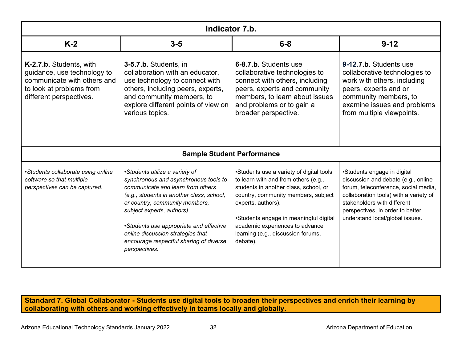| Indicator 7.b.                                                                                                                               |                                                                                                                                                                                                                                                                                                                                                                       |                                                                                                                                                                                                                                                                                                                       |                                                                                                                                                                                                                                                            |  |  |
|----------------------------------------------------------------------------------------------------------------------------------------------|-----------------------------------------------------------------------------------------------------------------------------------------------------------------------------------------------------------------------------------------------------------------------------------------------------------------------------------------------------------------------|-----------------------------------------------------------------------------------------------------------------------------------------------------------------------------------------------------------------------------------------------------------------------------------------------------------------------|------------------------------------------------------------------------------------------------------------------------------------------------------------------------------------------------------------------------------------------------------------|--|--|
| $K-2$                                                                                                                                        | $3-5$                                                                                                                                                                                                                                                                                                                                                                 | $6 - 8$                                                                                                                                                                                                                                                                                                               | $9 - 12$                                                                                                                                                                                                                                                   |  |  |
| K-2.7.b. Students, with<br>guidance, use technology to<br>communicate with others and<br>to look at problems from<br>different perspectives. | 3-5.7.b. Students, in<br>collaboration with an educator,<br>use technology to connect with<br>others, including peers, experts,<br>and community members, to<br>explore different points of view on<br>various topics.                                                                                                                                                | 6-8.7.b. Students use<br>collaborative technologies to<br>connect with others, including<br>peers, experts and community<br>members, to learn about issues<br>and problems or to gain a<br>broader perspective.                                                                                                       | 9-12.7.b. Students use<br>collaborative technologies to<br>work with others, including<br>peers, experts and or<br>community members, to<br>examine issues and problems<br>from multiple viewpoints.                                                       |  |  |
| <b>Sample Student Performance</b>                                                                                                            |                                                                                                                                                                                                                                                                                                                                                                       |                                                                                                                                                                                                                                                                                                                       |                                                                                                                                                                                                                                                            |  |  |
| •Students collaborate using online<br>software so that multiple<br>perspectives can be captured.                                             | •Students utilize a variety of<br>synchronous and asynchronous tools to<br>communicate and learn from others<br>(e.g., students in another class, school,<br>or country, community members,<br>subject experts, authors).<br>•Students use appropriate and effective<br>online discussion strategies that<br>encourage respectful sharing of diverse<br>perspectives. | •Students use a variety of digital tools<br>to learn with and from others (e.g.,<br>students in another class, school, or<br>country, community members, subject<br>experts, authors).<br>•Students engage in meaningful digital<br>academic experiences to advance<br>learning (e.g., discussion forums,<br>debate). | •Students engage in digital<br>discussion and debate (e.g., online<br>forum, teleconference, social media,<br>collaboration tools) with a variety of<br>stakeholders with different<br>perspectives, in order to better<br>understand local/global issues. |  |  |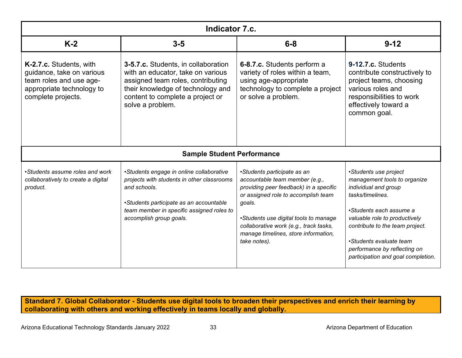| Indicator 7.c.                                                                                                                     |                                                                                                                                                                                                                           |                                                                                                                                                                                                                                                                                                     |                                                                                                                                                                                                                                                                                                   |  |  |  |
|------------------------------------------------------------------------------------------------------------------------------------|---------------------------------------------------------------------------------------------------------------------------------------------------------------------------------------------------------------------------|-----------------------------------------------------------------------------------------------------------------------------------------------------------------------------------------------------------------------------------------------------------------------------------------------------|---------------------------------------------------------------------------------------------------------------------------------------------------------------------------------------------------------------------------------------------------------------------------------------------------|--|--|--|
| $K-2$                                                                                                                              | $3 - 5$                                                                                                                                                                                                                   | $6-8$                                                                                                                                                                                                                                                                                               | $9 - 12$                                                                                                                                                                                                                                                                                          |  |  |  |
| K-2.7.c. Students, with<br>guidance, take on various<br>team roles and use age-<br>appropriate technology to<br>complete projects. | 3-5.7.c. Students, in collaboration<br>with an educator, take on various<br>assigned team roles, contributing<br>their knowledge of technology and<br>content to complete a project or<br>solve a problem.                | 6-8.7.c. Students perform a<br>variety of roles within a team,<br>using age-appropriate<br>technology to complete a project<br>or solve a problem.                                                                                                                                                  | 9-12.7.c. Students<br>contribute constructively to<br>project teams, choosing<br>various roles and<br>responsibilities to work<br>effectively toward a<br>common goal.                                                                                                                            |  |  |  |
| <b>Sample Student Performance</b>                                                                                                  |                                                                                                                                                                                                                           |                                                                                                                                                                                                                                                                                                     |                                                                                                                                                                                                                                                                                                   |  |  |  |
| •Students assume roles and work<br>collaboratively to create a digital<br>product.                                                 | •Students engage in online collaborative<br>projects with students in other classrooms<br>and schools.<br>•Students participate as an accountable<br>team member in specific assigned roles to<br>accomplish group goals. | •Students participate as an<br>accountable team member (e.g.,<br>providing peer feedback) in a specific<br>or assigned role to accomplish team<br>goals.<br>•Students use digital tools to manage<br>collaborative work (e.g., track tasks,<br>manage timelines, store information,<br>take notes). | •Students use project<br>management tools to organize<br>individual and group<br>tasks/timelines.<br>•Students each assume a<br>valuable role to productively<br>contribute to the team project.<br>•Students evaluate team<br>performance by reflecting on<br>participation and goal completion. |  |  |  |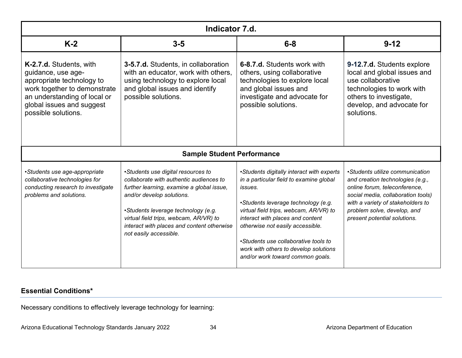| Indicator 7.d.                                                                                                                                                                                 |                                                                                                                                                                                                                                                                                                                  |                                                                                                                                                                                                                                                                                                                                                                               |                                                                                                                                                                                                                                                |  |  |
|------------------------------------------------------------------------------------------------------------------------------------------------------------------------------------------------|------------------------------------------------------------------------------------------------------------------------------------------------------------------------------------------------------------------------------------------------------------------------------------------------------------------|-------------------------------------------------------------------------------------------------------------------------------------------------------------------------------------------------------------------------------------------------------------------------------------------------------------------------------------------------------------------------------|------------------------------------------------------------------------------------------------------------------------------------------------------------------------------------------------------------------------------------------------|--|--|
| $K-2$                                                                                                                                                                                          | $3 - 5$                                                                                                                                                                                                                                                                                                          | $6 - 8$                                                                                                                                                                                                                                                                                                                                                                       | $9 - 12$                                                                                                                                                                                                                                       |  |  |
| K-2.7.d. Students, with<br>guidance, use age-<br>appropriate technology to<br>work together to demonstrate<br>an understanding of local or<br>global issues and suggest<br>possible solutions. | <b>3-5.7.d.</b> Students, in collaboration<br>with an educator, work with others,<br>using technology to explore local<br>and global issues and identify<br>possible solutions.                                                                                                                                  | 6-8.7.d. Students work with<br>others, using collaborative<br>technologies to explore local<br>and global issues and<br>investigate and advocate for<br>possible solutions.                                                                                                                                                                                                   | 9-12.7.d. Students explore<br>local and global issues and<br>use collaborative<br>technologies to work with<br>others to investigate,<br>develop, and advocate for<br>solutions.                                                               |  |  |
| <b>Sample Student Performance</b>                                                                                                                                                              |                                                                                                                                                                                                                                                                                                                  |                                                                                                                                                                                                                                                                                                                                                                               |                                                                                                                                                                                                                                                |  |  |
| •Students use age-appropriate<br>collaborative technologies for<br>conducting research to investigate<br>problems and solutions.                                                               | •Students use digital resources to<br>collaborate with authentic audiences to<br>further learning, examine a global issue,<br>and/or develop solutions.<br>•Students leverage technology (e.g.<br>virtual field trips, webcam, AR/VR) to<br>interact with places and content otherwise<br>not easily accessible. | •Students digitally interact with experts<br>in a particular field to examine global<br>issues.<br>•Students leverage technology (e.g.<br>virtual field trips, webcam, AR/VR) to<br>interact with places and content<br>otherwise not easily accessible.<br>•Students use collaborative tools to<br>work with others to develop solutions<br>and/or work toward common goals. | •Students utilize communication<br>and creation technologies (e.g.,<br>online forum, teleconference,<br>social media, collaboration tools)<br>with a variety of stakeholders to<br>problem solve, develop, and<br>present potential solutions. |  |  |

# **Essential Conditions\***

Necessary conditions to effectively leverage technology for learning: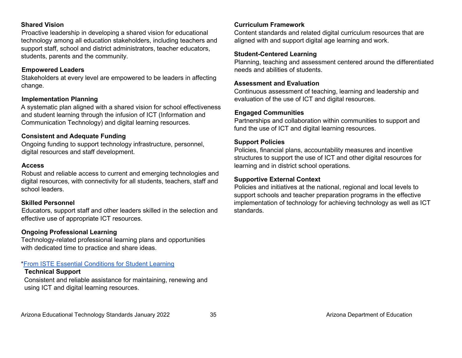#### **Shared Vision**

Proactive leadership in developing a shared vision for educational technology among all education stakeholders, including teachers and support staff, school and district administrators, teacher educators, students, parents and the community.

### **Empowered Leaders**

Stakeholders at every level are empowered to be leaders in affecting change.

### **Implementation Planning**

A systematic plan aligned with a shared vision for school effectiveness and student learning through the infusion of ICT (Information and Communication Technology) and digital learning resources.

### **Consistent and Adequate Funding**

Ongoing funding to support technology infrastructure, personnel, digital resources and staff development.

#### **Access**

Robust and reliable access to current and emerging technologies and digital resources, with connectivity for all students, teachers, staff and school leaders.

#### **Skilled Personnel**

Educators, support staff and other leaders skilled in the selection and effective use of appropriate ICT resources.

# **Ongoing Professional Learning**

Technology-related professional learning plans and opportunities with dedicated time to practice and share ideas.

### [\\*From ISTE Essential Conditions for Student Learning](https://www.iste.org/standards/iste-essential-conditions)

#### **Technical Support**

Consistent and reliable assistance for maintaining, renewing and using ICT and digital learning resources.

#### **Curriculum Framework**

Content standards and related digital curriculum resources that are aligned with and support digital age learning and work.

## **Student-Centered Learning**

Planning, teaching and assessment centered around the differentiated needs and abilities of students.

#### **Assessment and Evaluation**

Continuous assessment of teaching, learning and leadership and evaluation of the use of ICT and digital resources.

## **Engaged Communities**

Partnerships and collaboration within communities to support and fund the use of ICT and digital learning resources.

#### **Support Policies**

Policies, financial plans, accountability measures and incentive structures to support the use of ICT and other digital resources for learning and in district school operations.

#### **Supportive External Context**

Policies and initiatives at the national, regional and local levels to support schools and teacher preparation programs in the effective implementation of technology for achieving technology as well as ICT standards.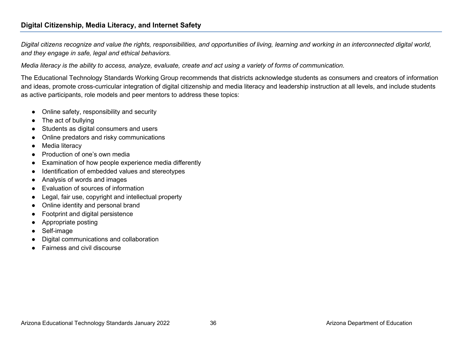# **Digital Citizenship, Media Literacy, and Internet Safety**

*Digital citizens recognize and value the rights, responsibilities, and opportunities of living, learning and working in an interconnected digital world, and they engage in safe, legal and ethical behaviors.* 

*Media literacy is the ability to access, analyze, evaluate, create and act using a variety of forms of communication.* 

The Educational Technology Standards Working Group recommends that districts acknowledge students as consumers and creators of information and ideas, promote cross-curricular integration of digital citizenship and media literacy and leadership instruction at all levels, and include students as active participants, role models and peer mentors to address these topics:

- Online safety, responsibility and security
- The act of bullying
- Students as digital consumers and users
- Online predators and risky communications
- Media literacy
- Production of one's own media
- Examination of how people experience media differently
- Identification of embedded values and stereotypes
- Analysis of words and images
- Evaluation of sources of information
- Legal, fair use, copyright and intellectual property
- Online identity and personal brand
- Footprint and digital persistence
- Appropriate posting
- Self-image
- Digital communications and collaboration
- **Fairness and civil discourse**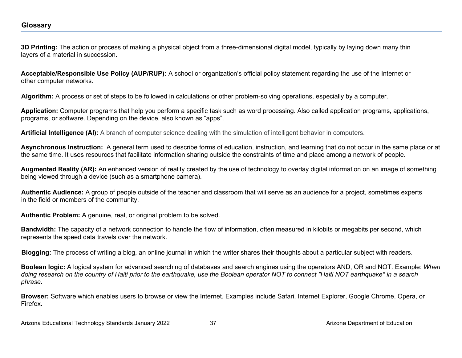**3D Printing:** The action or process of making a physical object from a three-dimensional digital model, typically by laying down many thin layers of a material in succession.

**Acceptable/Responsible Use Policy (AUP/RUP):** A school or organization's official policy statement regarding the use of the Internet or other computer networks.

**Algorithm:** A process or set of steps to be followed in calculations or other problem-solving operations, especially by a computer.

**Application:** Computer programs that help you perform a specific task such as word processing. Also called application programs, applications, programs, or software. Depending on the device, also known as "apps".

**Artificial Intelligence (AI):** A branch of computer science dealing with the simulation of intelligent behavior in computers.

**Asynchronous Instruction:** A general term used to describe forms of education, instruction, and learning that do not occur in the same place or at the same time. It uses resources that facilitate information sharing outside the constraints of time and place among a network of people.

**Augmented Reality (AR):** An enhanced version of reality created by the use of technology to overlay digital information on an image of something being viewed through a device (such as a smartphone camera).

**Authentic Audience:** A group of people outside of the teacher and classroom that will serve as an audience for a project, sometimes experts in the field or members of the community.

**Authentic Problem:** A genuine, real, or original problem to be solved.

**Bandwidth:** The capacity of a network connection to handle the flow of information, often measured in kilobits or megabits per second, which represents the speed data travels over the network.

**Blogging:** The process of writing a blog, an online journal in which the writer shares their thoughts about a particular subject with readers.

**Boolean logic:** A logical system for advanced searching of databases and search engines using the operators AND, OR and NOT. Example: *When doing research on the country of Haiti prior to the earthquake, use the Boolean operator NOT to connect "Haiti NOT earthquake" in a search phrase*.

**Browser:** Software which enables users to browse or view the Internet. Examples include Safari, Internet Explorer, Google Chrome, Opera, or Firefox.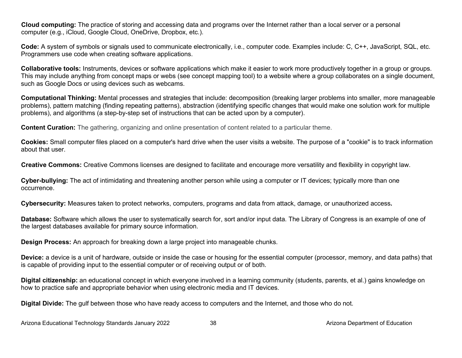**Cloud computing:** The practice of storing and accessing data and programs over the Internet rather than a local server or a personal computer (e.g., iCloud, Google Cloud, OneDrive, Dropbox, etc.).

**Code:** A system of symbols or signals used to communicate electronically, i.e., computer code. Examples include: C, C++, JavaScript, SQL, etc. Programmers use code when creating software applications.

**Collaborative tools:** Instruments, devices or software applications which make it easier to work more productively together in a group or groups. This may include anything from concept maps or webs (see concept mapping tool) to a website where a group collaborates on a single document, such as Google Docs or using devices such as webcams.

**Computational Thinking:** Mental processes and strategies that include: decomposition (breaking larger problems into smaller, more manageable problems), pattern matching (finding repeating patterns), abstraction (identifying specific changes that would make one solution work for multiple problems), and algorithms (a step-by-step set of instructions that can be acted upon by a computer).

**Content Curation:** The gathering, organizing and online presentation of content related to a particular theme.

**Cookies:** Small computer files placed on a computer's hard drive when the user visits a website. The purpose of a "cookie" is to track information about that user.

**Creative Commons:** Creative Commons licenses are designed to facilitate and encourage more versatility and flexibility in copyright law.

**Cyber-bullying:** The act of intimidating and threatening another person while using a computer or IT devices; typically more than one occurrence.

**Cybersecurity:** Measures taken to protect networks, computers, programs and data from attack, damage, or unauthorized access**.** 

**Database:** Software which allows the user to systematically search for, sort and/or input data. The Library of Congress is an example of one of the largest databases available for primary source information.

**Design Process:** An approach for breaking down a large project into manageable chunks.

**Device:** a device is a unit of hardware, outside or inside the case or housing for the essential computer (processor, memory, and data paths) that is capable of providing input to the essential computer or of receiving output or of both.

**Digital citizenship:** an educational concept in which everyone involved in a learning community (students, parents, et al.) gains knowledge on how to practice safe and appropriate behavior when using electronic media and IT devices.

**Digital Divide:** The gulf between those who have ready access to computers and the Internet, and those who do not.

Arizona Educational Technology Standards January 2022 38 38 Arizona Department of Education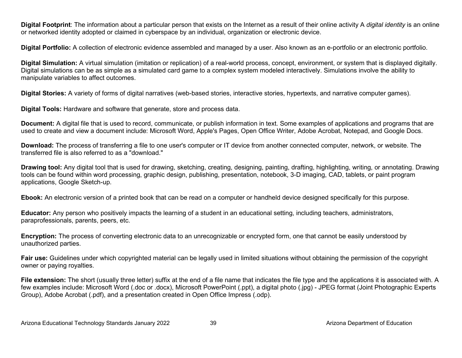**Digital Footprint**: The information about a particular person that exists on the Internet as a result of their online activity A *digital identity* is an online or networked identity adopted or claimed in cyberspace by an individual, organization or electronic device.

**Digital Portfolio:** A collection of electronic evidence assembled and managed by a user. Also known as an e-portfolio or an electronic portfolio.

**Digital Simulation:** A virtual simulation (imitation or replication) of a real-world process, concept, environment, or system that is displayed digitally. Digital simulations can be as simple as a simulated card game to a complex system modeled interactively. Simulations involve the ability to manipulate variables to affect outcomes.

**Digital Stories:** A variety of forms of digital narratives (web-based stories, interactive stories, hypertexts, and narrative computer games).

**Digital Tools:** Hardware and software that generate, store and process data.

**Document:** A digital file that is used to record, communicate, or publish information in text. Some examples of applications and programs that are used to create and view a document include: Microsoft Word, Apple's Pages, Open Office Writer, Adobe Acrobat, Notepad, and Google Docs.

**Download:** The process of transferring a file to one user's computer or IT device from another connected computer, network, or website. The transferred file is also referred to as a "download."

**Drawing tool:** Any digital tool that is used for drawing, sketching, creating, designing, painting, drafting, highlighting, writing, or annotating. Drawing tools can be found within word processing, graphic design, publishing, presentation, notebook, 3-D imaging, CAD, tablets, or paint program applications, Google Sketch-up.

**Ebook:** An electronic version of a printed book that can be read on a computer or handheld device designed specifically for this purpose.

**Educator:** Any person who positively impacts the learning of a student in an educational setting, including teachers, administrators, paraprofessionals, parents, peers, etc.

**Encryption:** The process of converting electronic data to an unrecognizable or encrypted form, one that cannot be easily understood by unauthorized parties.

**Fair use:** Guidelines under which copyrighted material can be legally used in limited situations without obtaining the permission of the copyright owner or paying royalties.

File extension: The short (usually three letter) suffix at the end of a file name that indicates the file type and the applications it is associated with. A few examples include: Microsoft Word (.doc or .docx), Microsoft PowerPoint (.ppt), a digital photo (.jpg) - JPEG format (Joint Photographic Experts Group), Adobe Acrobat (.pdf), and a presentation created in Open Office Impress (.odp).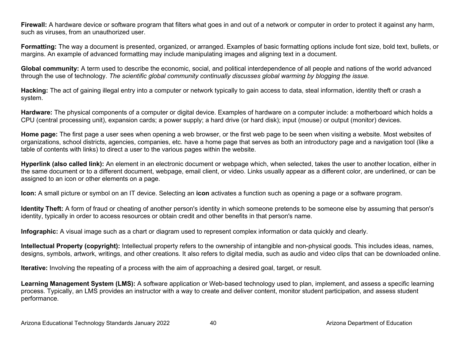**Firewall:** A hardware device or software program that filters what goes in and out of a network or computer in order to protect it against any harm, such as viruses, from an unauthorized user.

**Formatting:** The way a document is presented, organized, or arranged. Examples of basic formatting options include font size, bold text, bullets, or margins. An example of advanced formatting may include manipulating images and aligning text in a document.

**Global community:** A term used to describe the economic, social, and political interdependence of all people and nations of the world advanced through the use of technology. *The scientific global community continually discusses global warming by blogging the issue.*

**Hacking:** The act of gaining illegal entry into a computer or network typically to gain access to data, steal information, identity theft or crash a system.

**Hardware:** The physical components of a computer or digital device. Examples of hardware on a computer include: a motherboard which holds a CPU (central processing unit), expansion cards; a power supply; a hard drive (or hard disk); input (mouse) or output (monitor) devices.

**Home page:** The first page a user sees when opening a web browser, or the first web page to be seen when visiting a website. Most websites of organizations, school districts, agencies, companies, etc. have a home page that serves as both an introductory page and a navigation tool (like a table of contents with links) to direct a user to the various pages within the website.

**Hyperlink (also called link):** An element in an electronic document or webpage which, when selected, takes the user to another location, either in the same document or to a different document, webpage, email client, or video. Links usually appear as a different color, are underlined, or can be assigned to an icon or other elements on a page.

**Icon:** A small picture or symbol on an IT device. Selecting an **icon** activates a function such as opening a page or a software program.

**Identity Theft:** A form of fraud or cheating of another person's identity in which someone pretends to be someone else by assuming that person's identity, typically in order to access resources or obtain credit and other benefits in that person's name.

**Infographic:** A visual image such as a chart or diagram used to represent complex information or data quickly and clearly.

**Intellectual Property (copyright):** Intellectual property refers to the ownership of intangible and non-physical goods. This includes ideas, names, designs, symbols, artwork, writings, and other creations. It also refers to digital media, such as audio and video clips that can be downloaded online.

**Iterative:** Involving the repeating of a process with the aim of approaching a desired goal, target, or result.

**Learning Management System (LMS):** A software application or Web-based technology used to plan, implement, and assess a specific learning process. Typically, an LMS provides an instructor with a way to create and deliver content, monitor student participation, and assess student performance.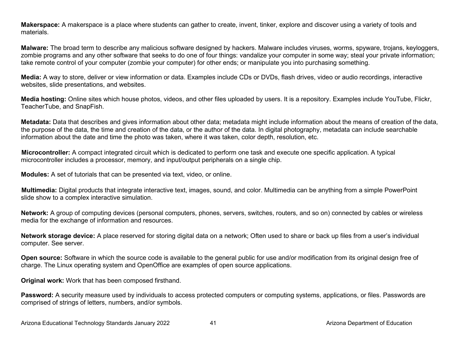**Makerspace:** A makerspace is a place where students can gather to create, invent, tinker, explore and discover using a variety of tools and materials.

**Malware:** The broad term to describe any malicious software designed by hackers. Malware includes viruses, worms, spyware, trojans, keyloggers, zombie programs and any other software that seeks to do one of four things: vandalize your computer in some way; steal your private information; take remote control of your computer (zombie your computer) for other ends; or manipulate you into purchasing something.

**Media:** A way to store, deliver or view information or data. Examples include CDs or DVDs, flash drives, video or audio recordings, interactive websites, slide presentations, and websites.

**Media hosting:** Online sites which house photos, videos, and other files uploaded by users. It is a repository. Examples include YouTube, Flickr, TeacherTube, and SnapFish.

**Metadata:** Data that describes and gives information about other data; metadata might include information about the means of creation of the data, the purpose of the data, the time and creation of the data, or the author of the data. In digital photography, metadata can include searchable information about the date and time the photo was taken, where it was taken, color depth, resolution, etc.

**Microcontroller:** A compact integrated circuit which is dedicated to perform one task and execute one specific application. A typical microcontroller includes a processor, memory, and input/output peripherals on a single chip.

**Modules:** A set of tutorials that can be presented via text, video, or online.

**Multimedia:** Digital products that integrate interactive text, images, sound, and color. Multimedia can be anything from a simple PowerPoint slide show to a complex interactive simulation.

**Network:** A group of computing devices (personal computers, phones, servers, switches, routers, and so on) connected by cables or wireless media for the exchange of information and resources.

**Network storage device:** A place reserved for storing digital data on a network; Often used to share or back up files from a user's individual computer. See server.

**Open source:** Software in which the source code is available to the general public for use and/or modification from its original design free of charge. The Linux operating system and OpenOffice are examples of open source applications.

**Original work:** Work that has been composed firsthand.

Password: A security measure used by individuals to access protected computers or computing systems, applications, or files. Passwords are comprised of strings of letters, numbers, and/or symbols.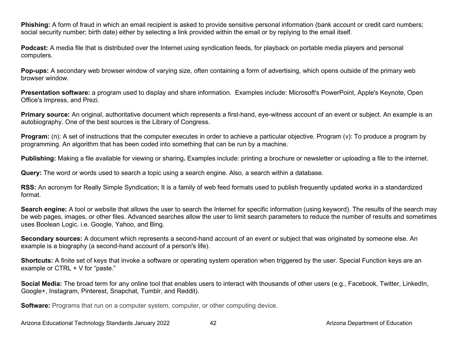**Phishing:** A form of fraud in which an email recipient is asked to provide sensitive personal information (bank account or credit card numbers; social security number; birth date) either by selecting a link provided within the email or by replying to the email itself.

**Podcast:** A media file that is distributed over the Internet using syndication feeds, for playback on portable media players and personal computers.

**Pop-ups:** A secondary web browser window of varying size, often containing a form of advertising, which opens outside of the primary web browser window.

**Presentation software:** a program used to display and share information. Examples include: Microsoft's PowerPoint, Apple's Keynote, Open Office's Impress, and Prezi.

**Primary source:** An original, authoritative document which represents a first-hand, eye-witness account of an event or subject. An example is an autobiography. One of the best sources is the Library of Congress.

**Program:** (n): A set of instructions that the computer executes in order to achieve a particular objective. Program (v): To produce a program by programming. An algorithm that has been coded into something that can be run by a machine.

**Publishing:** Making a file available for viewing or sharing**.** Examples include: printing a brochure or newsletter or uploading a file to the internet.

**Query:** The word or words used to search a topic using a search engine. Also, a search within a database.

**RSS:** An acronym for Really Simple Syndication; It is a family of web feed formats used to publish frequently updated works in a standardized format.

**Search engine:** A tool or website that allows the user to search the Internet for specific information (using keyword). The results of the search may be web pages, images, or other files. Advanced searches allow the user to limit search parameters to reduce the number of results and sometimes uses Boolean Logic. i.e. Google, Yahoo, and Bing.

**Secondary sources:** A document which represents a second-hand account of an event or subject that was originated by someone else. An example is a biography (a second-hand account of a person's life).

**Shortcuts:** A finite set of keys that invoke a software or operating system operation when triggered by the user. Special Function keys are an example or CTRL + V for "paste."

**Social Media:** The broad term for any online tool that enables users to interact with thousands of other users (e.g., Facebook, Twitter, LinkedIn, Google+, Instagram, Pinterest, Snapchat, Tumblr, and Reddit).

**Software:** Programs that run on a computer system, computer, or other computing device.

Arizona Educational Technology Standards January 2022 42 Arizona Department of Education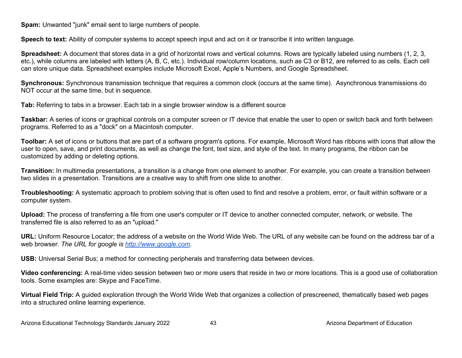**Spam:** Unwanted "junk" email sent to large numbers of people.

**Speech to text:** Ability of computer systems to accept speech input and act on it or transcribe it into written language.

**Spreadsheet:** A document that stores data in a grid of horizontal rows and vertical columns. Rows are typically labeled using numbers (1, 2, 3, etc.), while columns are labeled with letters (A, B, C, etc.). Individual row/column locations, such as C3 or B12, are referred to as cells. Each cell can store unique data. Spreadsheet examples include Microsoft Excel, Apple's Numbers, and Google Spreadsheet.

**Synchronous:** Synchronous transmission technique that requires a common clock (occurs at the same time). Asynchronous transmissions do NOT occur at the same time, but in sequence.

**Tab:** Referring to tabs in a browser. Each tab in a single browser window is a different source

**Taskbar:** A series of icons or graphical controls on a computer screen or IT device that enable the user to open or switch back and forth between programs. Referred to as a "dock" on a Macintosh computer.

**Toolbar:** A set of icons or buttons that are part of a software program's options. For example, Microsoft Word has ribbons with icons that allow the user to open, save, and print documents, as well as change the font, text size, and style of the text. In many programs, the ribbon can be customized by adding or deleting options.

**Transition:** In multimedia presentations, a transition is a change from one element to another. For example, you can create a transition between two slides in a presentation. Transitions are a creative way to shift from one slide to another.

**Troubleshooting:** A systematic approach to problem solving that is often used to find and resolve a problem, error, or fault within software or a computer system.

**Upload:** The process of transferring a file from one user's computer or IT device to another connected computer, network, or website. The transferred file is also referred to as an "upload."

**URL:** Uniform Resource Locator; the address of a website on the World Wide Web. The URL of any website can be found on the address bar of a web browser. *The URL for google i[s](http://www.google.com/) [http://www.google.com.](http://www.google.com/)*

**USB:** Universal Serial Bus; a method for connecting peripherals and transferring data between devices.

**Video conferencing:** A real-time video session between two or more users that reside in two or more locations. This is a good use of collaboration tools. Some examples are: Skype and FaceTime.

**Virtual Field Trip:** A guided exploration through the World Wide Web that organizes a collection of prescreened, thematically based web pages into a structured online learning experience.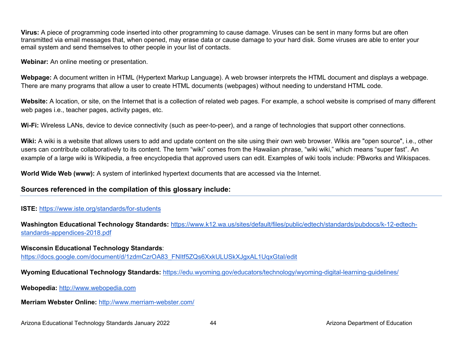**Virus:** A piece of programming code inserted into other programming to cause damage. Viruses can be sent in many forms but are often transmitted via email messages that, when opened, may erase data or cause damage to your hard disk. Some viruses are able to enter your email system and send themselves to other people in your list of contacts.

**Webinar:** An online meeting or presentation.

**Webpage:** A document written in HTML (Hypertext Markup Language). A web browser interprets the HTML document and displays a webpage. There are many programs that allow a user to create HTML documents (webpages) without needing to understand HTML code.

**Website:** A location, or site, on the Internet that is a collection of related web pages. For example, a school website is comprised of many different web pages i.e., teacher pages, activity pages, etc.

**Wi-Fi:** Wireless LANs, device to device connectivity (such as peer-to-peer), and a range of technologies that support other connections.

**Wiki:** A wiki is a website that allows users to add and update content on the site using their own web browser. Wikis are "open source", i.e., other users can contribute collaboratively to its content. The term "wiki" comes from the Hawaiian phrase, "wiki wiki," which means "super fast". An example of a large wiki is Wikipedia, a free encyclopedia that approved users can edit. Examples of wiki tools include: PBworks and Wikispaces.

**World Wide Web (www):** A system of interlinked hypertext documents that are accessed via the Internet.

### **Sources referenced in the compilation of this glossary include:**

#### **ISTE:** <https://www.iste.org/standards/for-students>

**Washington Educational Technology Standards:** [https://www.k12.wa.us/sites/default/files/public/edtech/standards/pubdocs/k-12-edtech](https://www.k12.wa.us/sites/default/files/public/edtech/standards/pubdocs/k-12-edtech-standards-appendices-2018.pdf)[standards-appendices-2018.pdf](https://www.k12.wa.us/sites/default/files/public/edtech/standards/pubdocs/k-12-edtech-standards-appendices-2018.pdf)

**Wisconsin Educational Technology Standards**:

[https://docs.google.com/document/d/1zdmCzrOA83\\_FNItf5ZQs6XxkULUSkXJgxAL1UqxGtaI/edit](https://docs.google.com/document/d/1zdmCzrOA83_FNItf5ZQs6XxkULUSkXJgxAL1UqxGtaI/edit)

**Wyoming Educational Technology Standards:** <https://edu.wyoming.gov/educators/technology/wyoming-digital-learning-guidelines/>

**Webopedia:** [http://www.webopedia.com](http://www.webopedia.com/)

**Merriam Webster Online:** <http://www.merriam-webster.com/>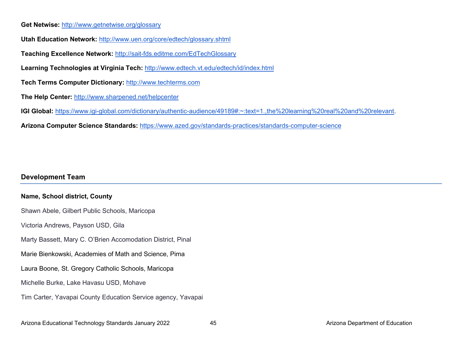#### **Get Netwise:** <http://www.getnetwise.org/glossary>

**Utah Education Network:** <http://www.uen.org/core/edtech/glossary.shtml>

**Teaching Excellence Network:** <http://sait-fds.editme.com/EdTechGlossary>

**Learning Technologies at Virginia Tech:** <http://www.edtech.vt.edu/edtech/id/index.html>

**Tech Terms Computer Dictionary:** [http://www.techterms.com](http://www.techterms.com/)

**The Help Center:** <http://www.sharpened.net/helpcenter>

**IGI Global:** [https://www.igi-global.com/dictionary/authentic-audience/49189#:~:text=1.,the%20learning%20real%20and%20relevant.](https://www.igi-global.com/dictionary/authentic-audience/49189#:%7E:text=1.,the%20learning%20real%20and%20relevant)

**Arizona Computer Science Standards:** <https://www.azed.gov/standards-practices/standards-computer-science>

## **Development Team**

## **Name, School district, County**

Shawn Abele, Gilbert Public Schools, Maricopa Victoria Andrews, Payson USD, Gila Marty Bassett, Mary C. O'Brien Accomodation District, Pinal Marie Bienkowski, Academies of Math and Science, Pima Laura Boone, St. Gregory Catholic Schools, Maricopa Michelle Burke, Lake Havasu USD, Mohave Tim Carter, Yavapai County Education Service agency, Yavapai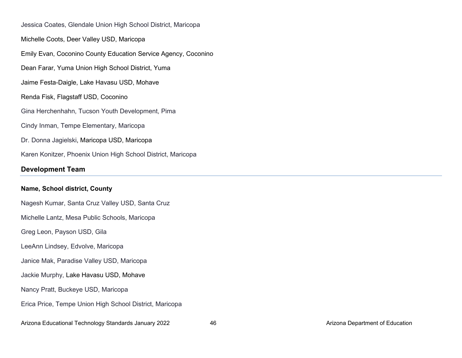Jessica Coates, Glendale Union High School District, Maricopa Michelle Coots, Deer Valley USD, Maricopa Emily Evan, Coconino County Education Service Agency, Coconino Dean Farar, Yuma Union High School District, Yuma Jaime Festa-Daigle, Lake Havasu USD, Mohave Renda Fisk, Flagstaff USD, Coconino Gina Herchenhahn, Tucson Youth Development, Pima Cindy Inman, Tempe Elementary, Maricopa Dr. Donna Jagielski, Maricopa USD, Maricopa Karen Konitzer, Phoenix Union High School District, Maricopa

# **Development Team**

#### **Name, School district, County**

Nagesh Kumar, Santa Cruz Valley USD, Santa Cruz Michelle Lantz, Mesa Public Schools, Maricopa Greg Leon, Payson USD, Gila LeeAnn Lindsey, Edvolve, Maricopa Janice Mak, Paradise Valley USD, Maricopa Jackie Murphy, Lake Havasu USD, Mohave Nancy Pratt, Buckeye USD, Maricopa Erica Price, Tempe Union High School District, Maricopa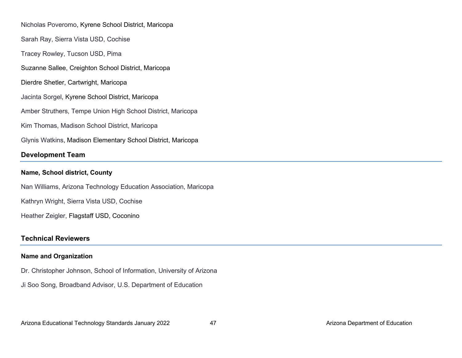Nicholas Poveromo, Kyrene School District, Maricopa Sarah Ray, Sierra Vista USD, Cochise Tracey Rowley, Tucson USD, Pima Suzanne Sallee, Creighton School District, Maricopa Dierdre Shetler, Cartwright, Maricopa Jacinta Sorgel, Kyrene School District, Maricopa Amber Struthers, Tempe Union High School District, Maricopa Kim Thomas, Madison School District, Maricopa Glynis Watkins, Madison Elementary School District, Maricopa **Development Team** 

## **Name, School district, County**

Nan Williams, Arizona Technology Education Association, Maricopa Kathryn Wright, Sierra Vista USD, Cochise

Heather Zeigler, Flagstaff USD, Coconino

# **Technical Reviewers**

## **Name and Organization**

Dr. Christopher Johnson, School of Information, University of Arizona

Ji Soo Song, Broadband Advisor, U.S. Department of Education